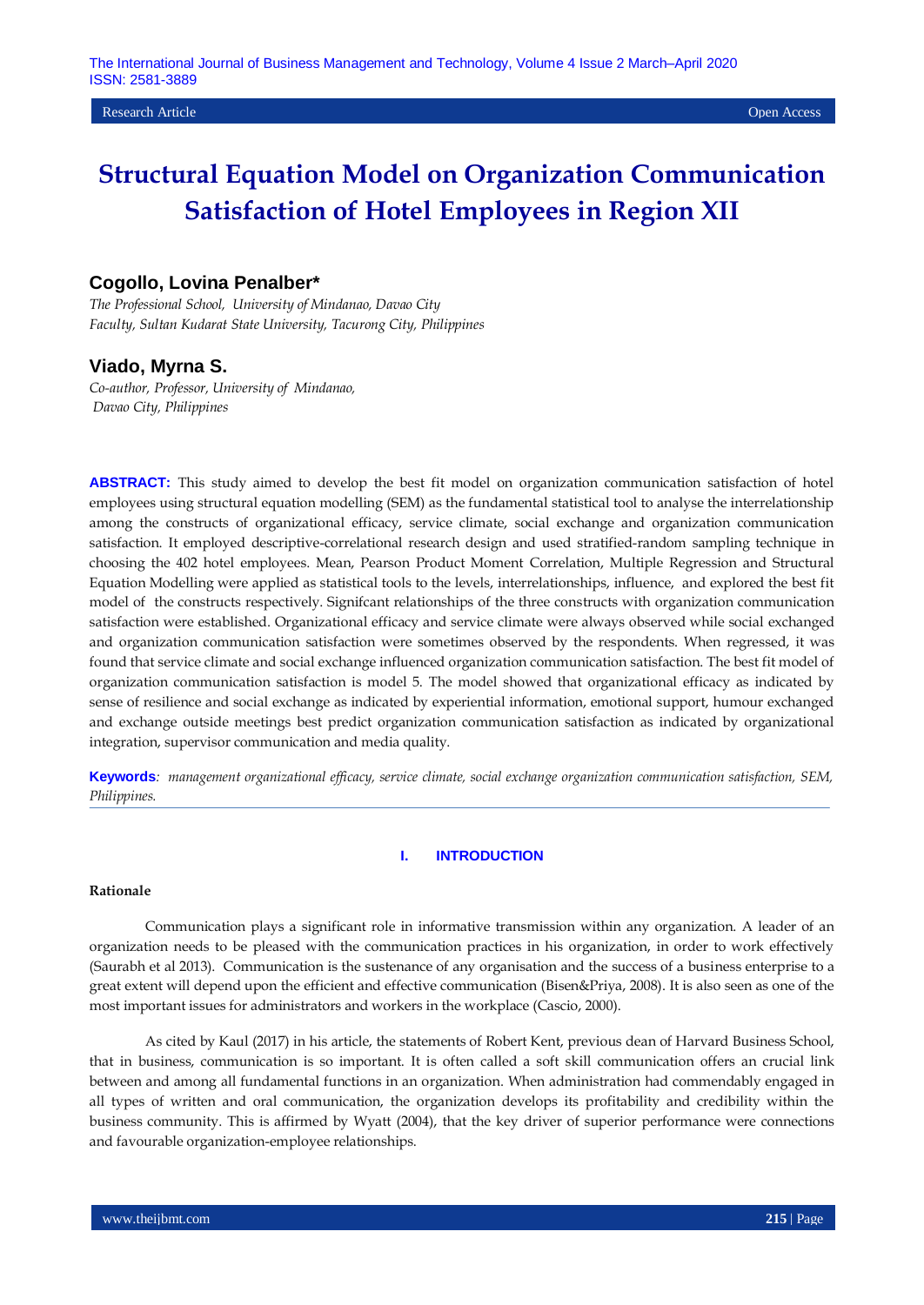# **Cogollo, Lovina Penalber\***

*The Professional School, University of Mindanao, Davao City Faculty, Sultan Kudarat State University, Tacurong City, Philippines*

# **Viado, Myrna S.**

*Co-author, Professor, University of Mindanao, Davao City, Philippines*

**ABSTRACT:** This study aimed to develop the best fit model on organization communication satisfaction of hotel employees using structural equation modelling (SEM) as the fundamental statistical tool to analyse the interrelationship among the constructs of organizational efficacy, service climate, social exchange and organization communication satisfaction. It employed descriptive-correlational research design and used stratified-random sampling technique in choosing the 402 hotel employees. Mean, Pearson Product Moment Correlation, Multiple Regression and Structural Equation Modelling were applied as statistical tools to the levels, interrelationships, influence, and explored the best fit model of the constructs respectively. Signifcant relationships of the three constructs with organization communication satisfaction were established. Organizational efficacy and service climate were always observed while social exchanged and organization communication satisfaction were sometimes observed by the respondents. When regressed, it was found that service climate and social exchange influenced organization communication satisfaction. The best fit model of organization communication satisfaction is model 5. The model showed that organizational efficacy as indicated by sense of resilience and social exchange as indicated by experiential information, emotional support, humour exchanged and exchange outside meetings best predict organization communication satisfaction as indicated by organizational integration, supervisor communication and media quality.

**Keywords***: management organizational efficacy, service climate, social exchange organization communication satisfaction, SEM, Philippines.*

# **I. INTRODUCTION**

#### **Rationale**

Communication plays a significant role in informative transmission within any organization. A leader of an organization needs to be pleased with the communication practices in his organization, in order to work effectively (Saurabh et al 2013). Communication is the sustenance of any organisation and the success of a business enterprise to a great extent will depend upon the efficient and effective communication (Bisen&Priya, 2008). It is also seen as one of the most important issues for administrators and workers in the workplace (Cascio, 2000).

As cited by Kaul (2017) in his article, the statements of Robert Kent, previous dean of Harvard Business School, that in business, communication is so important. It is often called a soft skill communication offers an crucial link between and among all fundamental functions in an organization. When administration had commendably engaged in all types of written and oral communication, the organization develops its profitability and credibility within the business community. This is affirmed by Wyatt (2004), that the key driver of superior performance were connections and favourable organization-employee relationships.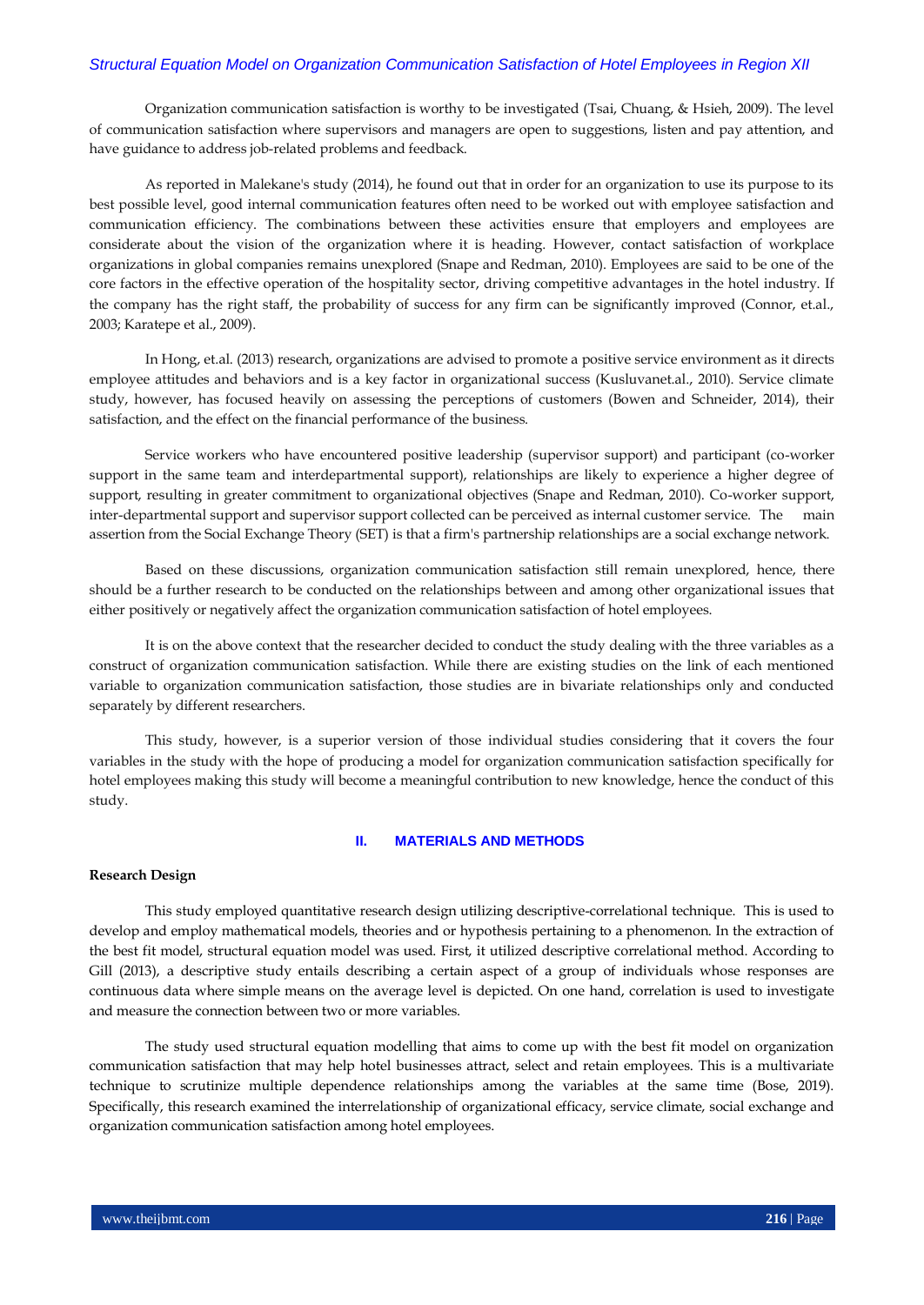Organization communication satisfaction is worthy to be investigated (Tsai, Chuang, & Hsieh, 2009). The level of communication satisfaction where supervisors and managers are open to suggestions, listen and pay attention, and have guidance to address job-related problems and feedback.

As reported in Malekane's study (2014), he found out that in order for an organization to use its purpose to its best possible level, good internal communication features often need to be worked out with employee satisfaction and communication efficiency. The combinations between these activities ensure that employers and employees are considerate about the vision of the organization where it is heading. However, contact satisfaction of workplace organizations in global companies remains unexplored (Snape and Redman, 2010). Employees are said to be one of the core factors in the effective operation of the hospitality sector, driving competitive advantages in the hotel industry. If the company has the right staff, the probability of success for any firm can be significantly improved (Connor, et.al., 2003; Karatepe et al., 2009).

In Hong, et.al. (2013) research, organizations are advised to promote a positive service environment as it directs employee attitudes and behaviors and is a key factor in organizational success (Kusluvanet.al., 2010). Service climate study, however, has focused heavily on assessing the perceptions of customers (Bowen and Schneider, 2014), their satisfaction, and the effect on the financial performance of the business.

Service workers who have encountered positive leadership (supervisor support) and participant (co-worker support in the same team and interdepartmental support), relationships are likely to experience a higher degree of support, resulting in greater commitment to organizational objectives (Snape and Redman, 2010). Co-worker support, inter-departmental support and supervisor support collected can be perceived as internal customer service. The main assertion from the Social Exchange Theory (SET) is that a firm's partnership relationships are a social exchange network.

Based on these discussions, organization communication satisfaction still remain unexplored, hence, there should be a further research to be conducted on the relationships between and among other organizational issues that either positively or negatively affect the organization communication satisfaction of hotel employees.

It is on the above context that the researcher decided to conduct the study dealing with the three variables as a construct of organization communication satisfaction. While there are existing studies on the link of each mentioned variable to organization communication satisfaction, those studies are in bivariate relationships only and conducted separately by different researchers.

This study, however, is a superior version of those individual studies considering that it covers the four variables in the study with the hope of producing a model for organization communication satisfaction specifically for hotel employees making this study will become a meaningful contribution to new knowledge, hence the conduct of this study.

# **II. MATERIALS AND METHODS**

# **Research Design**

This study employed quantitative research design utilizing descriptive-correlational technique. This is used to develop and employ mathematical models, theories and or hypothesis pertaining to a phenomenon. In the extraction of the best fit model, structural equation model was used. First, it utilized descriptive correlational method. According to Gill (2013), a descriptive study entails describing a certain aspect of a group of individuals whose responses are continuous data where simple means on the average level is depicted. On one hand, correlation is used to investigate and measure the connection between two or more variables.

The study used structural equation modelling that aims to come up with the best fit model on organization communication satisfaction that may help hotel businesses attract, select and retain employees. This is a multivariate technique to scrutinize multiple dependence relationships among the variables at the same time (Bose, 2019). Specifically, this research examined the interrelationship of organizational efficacy, service climate, social exchange and organization communication satisfaction among hotel employees.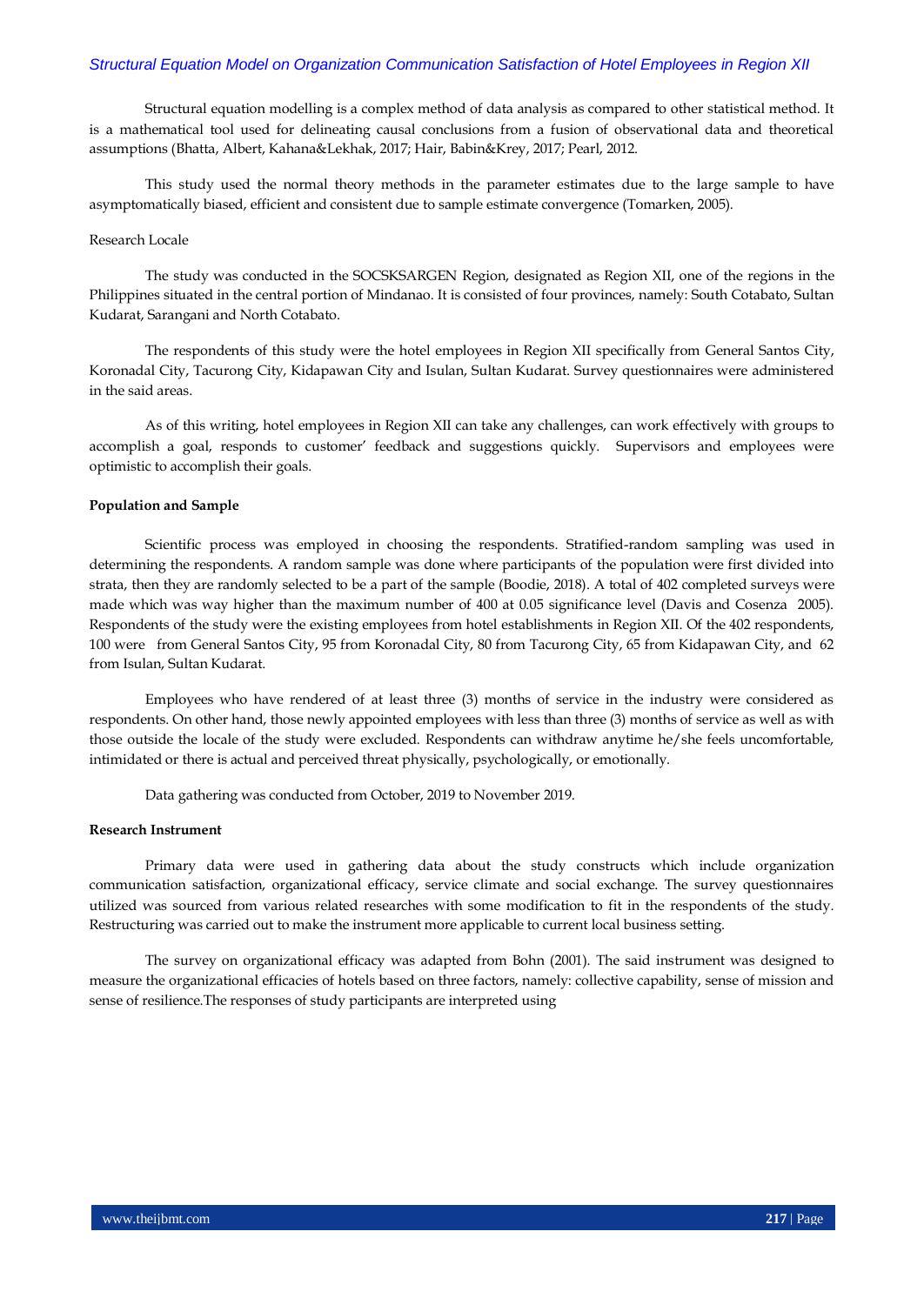Structural equation modelling is a complex method of data analysis as compared to other statistical method. It is a mathematical tool used for delineating causal conclusions from a fusion of observational data and theoretical assumptions (Bhatta, Albert, Kahana&Lekhak, 2017; Hair, Babin&Krey, 2017; Pearl, 2012.

This study used the normal theory methods in the parameter estimates due to the large sample to have asymptomatically biased, efficient and consistent due to sample estimate convergence (Tomarken, 2005).

# Research Locale

The study was conducted in the SOCSKSARGEN Region, designated as Region XII, one of the regions in the Philippines situated in the central portion of Mindanao. It is consisted of four provinces, namely: South Cotabato, Sultan Kudarat, Sarangani and North Cotabato.

The respondents of this study were the hotel employees in Region XII specifically from General Santos City, Koronadal City, Tacurong City, Kidapawan City and Isulan, Sultan Kudarat. Survey questionnaires were administered in the said areas.

As of this writing, hotel employees in Region XII can take any challenges, can work effectively with groups to accomplish a goal, responds to customer' feedback and suggestions quickly. Supervisors and employees were optimistic to accomplish their goals.

#### **Population and Sample**

Scientific process was employed in choosing the respondents. Stratified-random sampling was used in determining the respondents. A random sample was done where participants of the population were first divided into strata, then they are randomly selected to be a part of the sample (Boodie, 2018). A total of 402 completed surveys were made which was way higher than the maximum number of 400 at 0.05 significance level (Davis and Cosenza 2005). Respondents of the study were the existing employees from hotel establishments in Region XII. Of the 402 respondents, 100 were from General Santos City, 95 from Koronadal City, 80 from Tacurong City, 65 from Kidapawan City, and 62 from Isulan, Sultan Kudarat.

Employees who have rendered of at least three (3) months of service in the industry were considered as respondents. On other hand, those newly appointed employees with less than three (3) months of service as well as with those outside the locale of the study were excluded. Respondents can withdraw anytime he/she feels uncomfortable, intimidated or there is actual and perceived threat physically, psychologically, or emotionally.

Data gathering was conducted from October, 2019 to November 2019.

#### **Research Instrument**

Primary data were used in gathering data about the study constructs which include organization communication satisfaction, organizational efficacy, service climate and social exchange. The survey questionnaires utilized was sourced from various related researches with some modification to fit in the respondents of the study. Restructuring was carried out to make the instrument more applicable to current local business setting.

The survey on organizational efficacy was adapted from Bohn (2001). The said instrument was designed to measure the organizational efficacies of hotels based on three factors, namely: collective capability, sense of mission and sense of resilience.The responses of study participants are interpreted using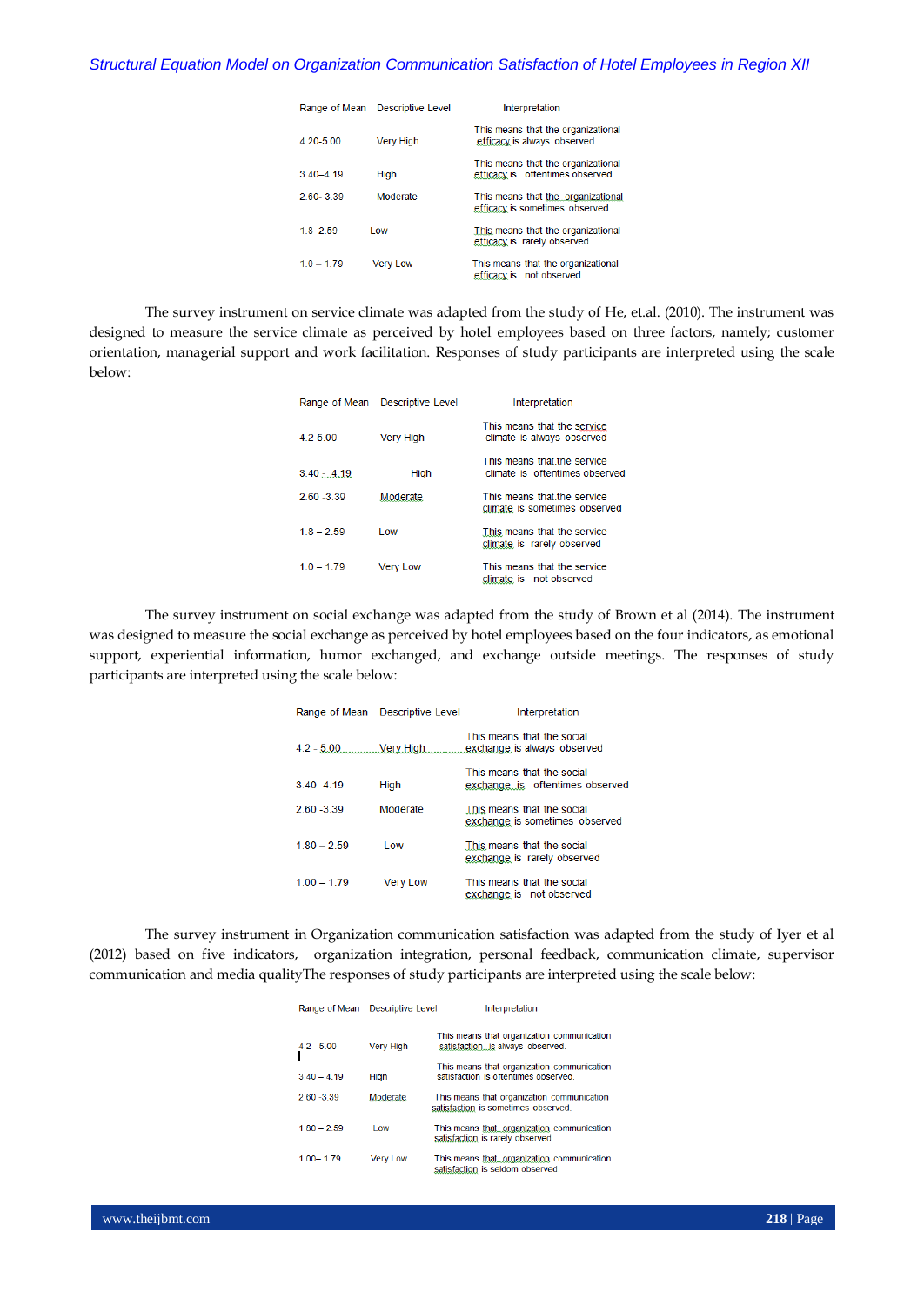| Range of Mean | <b>Descriptive Level</b> | Interpretation                                                        |
|---------------|--------------------------|-----------------------------------------------------------------------|
| 4.20-5.00     | <b>Very High</b>         | This means that the organizational<br>efficacy is always observed     |
| $3.40 - 4.19$ | High                     | This means that the organizational<br>efficacy is oftentimes observed |
| 2.60-3.39     | Moderate                 | This means that the organizational<br>efficacy is sometimes observed  |
| $18 - 259$    | l ow                     | This means that the organizational<br>efficacy is rarely observed     |
| $10 - 179$    | <b>Very Low</b>          | This means that the organizational<br>efficacy is not observed        |

The survey instrument on service climate was adapted from the study of He, et.al. (2010). The instrument was designed to measure the service climate as perceived by hotel employees based on three factors, namely; customer orientation, managerial support and work facilitation. Responses of study participants are interpreted using the scale below:

| Range of Mean | <b>Descriptive Level</b> | Interpretation                                                |
|---------------|--------------------------|---------------------------------------------------------------|
| $4.2 - 5.00$  | <b>Very High</b>         | This means that the service<br>climate is always observed     |
| $3.40 - 4.19$ | High                     | This means that the service<br>climate is oftentimes observed |
| $260 - 339$   | Moderate                 | This means that the service<br>climate is sometimes observed  |
| $1.8 - 2.59$  | I ow                     | This means that the service<br>climate is rarely observed     |
| $1.0 - 1.79$  | <b>Very Low</b>          | This means that the service<br>climate is not observed        |

The survey instrument on social exchange was adapted from the study of Brown et al (2014). The instrument was designed to measure the social exchange as perceived by hotel employees based on the four indicators, as emotional support, experiential information, humor exchanged, and exchange outside meetings. The responses of study participants are interpreted using the scale below:

|               | Range of Mean Descriptive Level | Interpretation                                                |
|---------------|---------------------------------|---------------------------------------------------------------|
|               | $4.2 - 5.00$ Very High          | This means that the social<br>exchange is always observed     |
| $340 - 419$   | High                            | This means that the social<br>exchange is oftentimes observed |
| $260 - 339$   | Moderate                        | This means that the social<br>exchange is sometimes observed  |
| $180 - 259$   | I ow                            | This means that the social<br>exchange is rarely observed     |
| $1.00 - 1.79$ | <b>Very Low</b>                 | This means that the social<br>exchange is not observed        |

The survey instrument in Organization communication satisfaction was adapted from the study of Iyer et al (2012) based on five indicators, organization integration, personal feedback, communication climate, supervisor communication and media qualityThe responses of study participants are interpreted using the scale below:

| Range of Mean | <b>Descriptive Level</b> | Interpretation                                                                    |
|---------------|--------------------------|-----------------------------------------------------------------------------------|
| $42 - 500$    | <b>Very High</b>         | This means that organization communication<br>satisfaction is always observed.    |
| $340 - 419$   | Hiah                     | This means that organization communication<br>satisfaction is oftentimes observed |
| $2,60 - 3,39$ | <b>Moderate</b>          | This means that organization communication<br>satisfaction is sometimes observed. |
| $1.80 - 2.59$ | l ow                     | This means that organization communication<br>satisfaction is rarely observed.    |
| $1.00 - 1.79$ | <b>Very Low</b>          | This means that organization communication<br>satisfaction is seldom observed.    |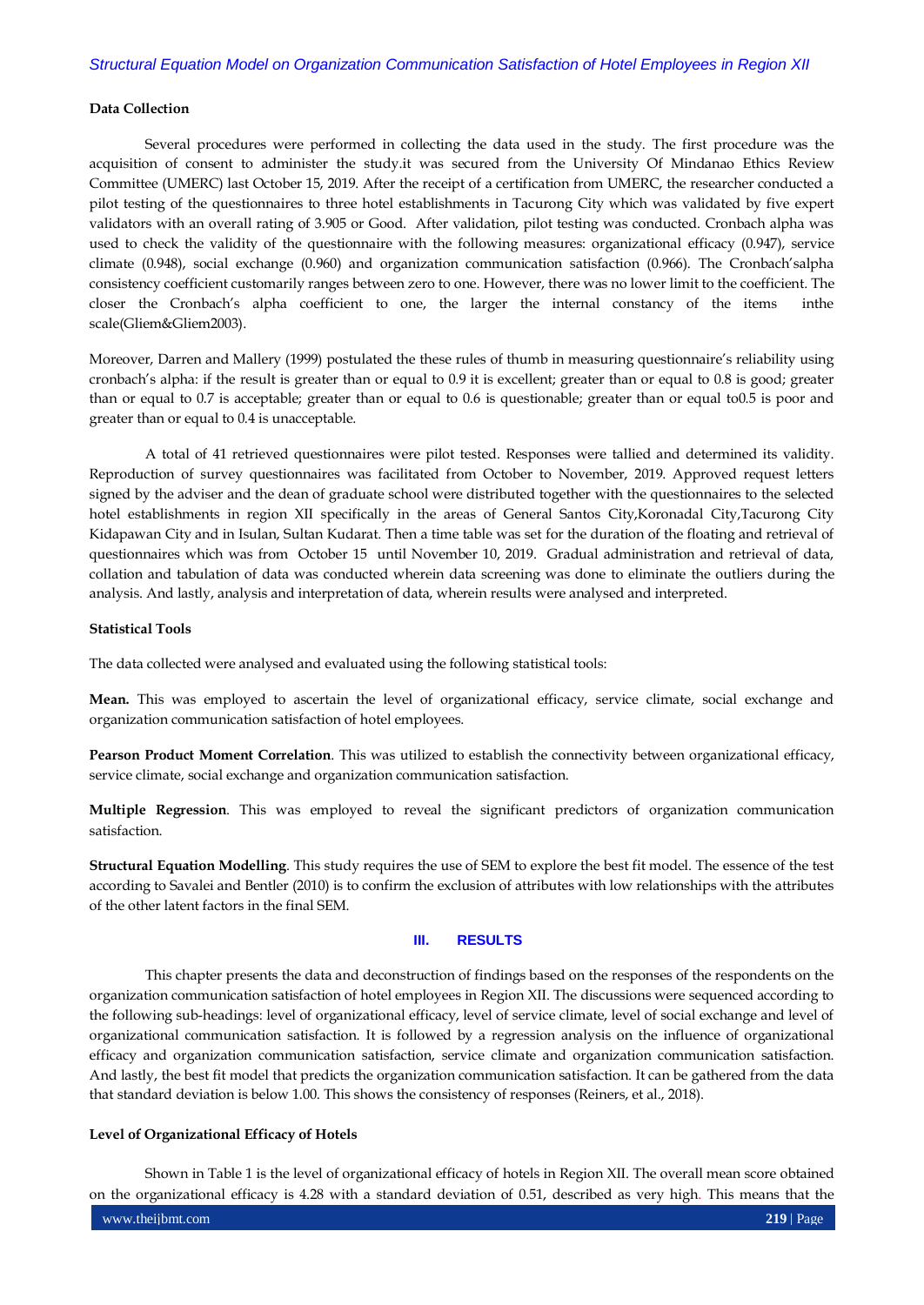## **Data Collection**

Several procedures were performed in collecting the data used in the study. The first procedure was the acquisition of consent to administer the study.it was secured from the University Of Mindanao Ethics Review Committee (UMERC) last October 15, 2019. After the receipt of a certification from UMERC, the researcher conducted a pilot testing of the questionnaires to three hotel establishments in Tacurong City which was validated by five expert validators with an overall rating of 3.905 or Good. After validation, pilot testing was conducted. Cronbach alpha was used to check the validity of the questionnaire with the following measures: organizational efficacy (0.947), service climate (0.948), social exchange (0.960) and organization communication satisfaction (0.966). The Cronbach'salpha consistency coefficient customarily ranges between zero to one. However, there was no lower limit to the coefficient. The closer the Cronbach's alpha coefficient to one, the larger the internal constancy of the items inthe scale(Gliem&Gliem2003).

Moreover, Darren and Mallery (1999) postulated the these rules of thumb in measuring questionnaire's reliability using cronbach's alpha: if the result is greater than or equal to 0.9 it is excellent; greater than or equal to 0.8 is good; greater than or equal to 0.7 is acceptable; greater than or equal to 0.6 is questionable; greater than or equal to0.5 is poor and greater than or equal to 0.4 is unacceptable.

A total of 41 retrieved questionnaires were pilot tested. Responses were tallied and determined its validity. Reproduction of survey questionnaires was facilitated from October to November, 2019. Approved request letters signed by the adviser and the dean of graduate school were distributed together with the questionnaires to the selected hotel establishments in region XII specifically in the areas of General Santos City,Koronadal City,Tacurong City Kidapawan City and in Isulan, Sultan Kudarat. Then a time table was set for the duration of the floating and retrieval of questionnaires which was from October 15 until November 10, 2019. Gradual administration and retrieval of data, collation and tabulation of data was conducted wherein data screening was done to eliminate the outliers during the analysis. And lastly, analysis and interpretation of data, wherein results were analysed and interpreted.

## **Statistical Tools**

The data collected were analysed and evaluated using the following statistical tools:

**Mean.** This was employed to ascertain the level of organizational efficacy, service climate, social exchange and organization communication satisfaction of hotel employees.

**Pearson Product Moment Correlation**. This was utilized to establish the connectivity between organizational efficacy, service climate, social exchange and organization communication satisfaction.

**Multiple Regression**. This was employed to reveal the significant predictors of organization communication satisfaction.

**Structural Equation Modelling**. This study requires the use of SEM to explore the best fit model. The essence of the test according to Savalei and Bentler (2010) is to confirm the exclusion of attributes with low relationships with the attributes of the other latent factors in the final SEM.

# **III. RESULTS**

This chapter presents the data and deconstruction of findings based on the responses of the respondents on the organization communication satisfaction of hotel employees in Region XII. The discussions were sequenced according to the following sub-headings: level of organizational efficacy, level of service climate, level of social exchange and level of organizational communication satisfaction. It is followed by a regression analysis on the influence of organizational efficacy and organization communication satisfaction, service climate and organization communication satisfaction. And lastly, the best fit model that predicts the organization communication satisfaction. It can be gathered from the data that standard deviation is below 1.00. This shows the consistency of responses (Reiners, et al., 2018).

#### **Level of Organizational Efficacy of Hotels**

Shown in Table 1 is the level of organizational efficacy of hotels in Region XII. The overall mean score obtained on the organizational efficacy is 4.28 with a standard deviation of 0.51, described as very high. This means that the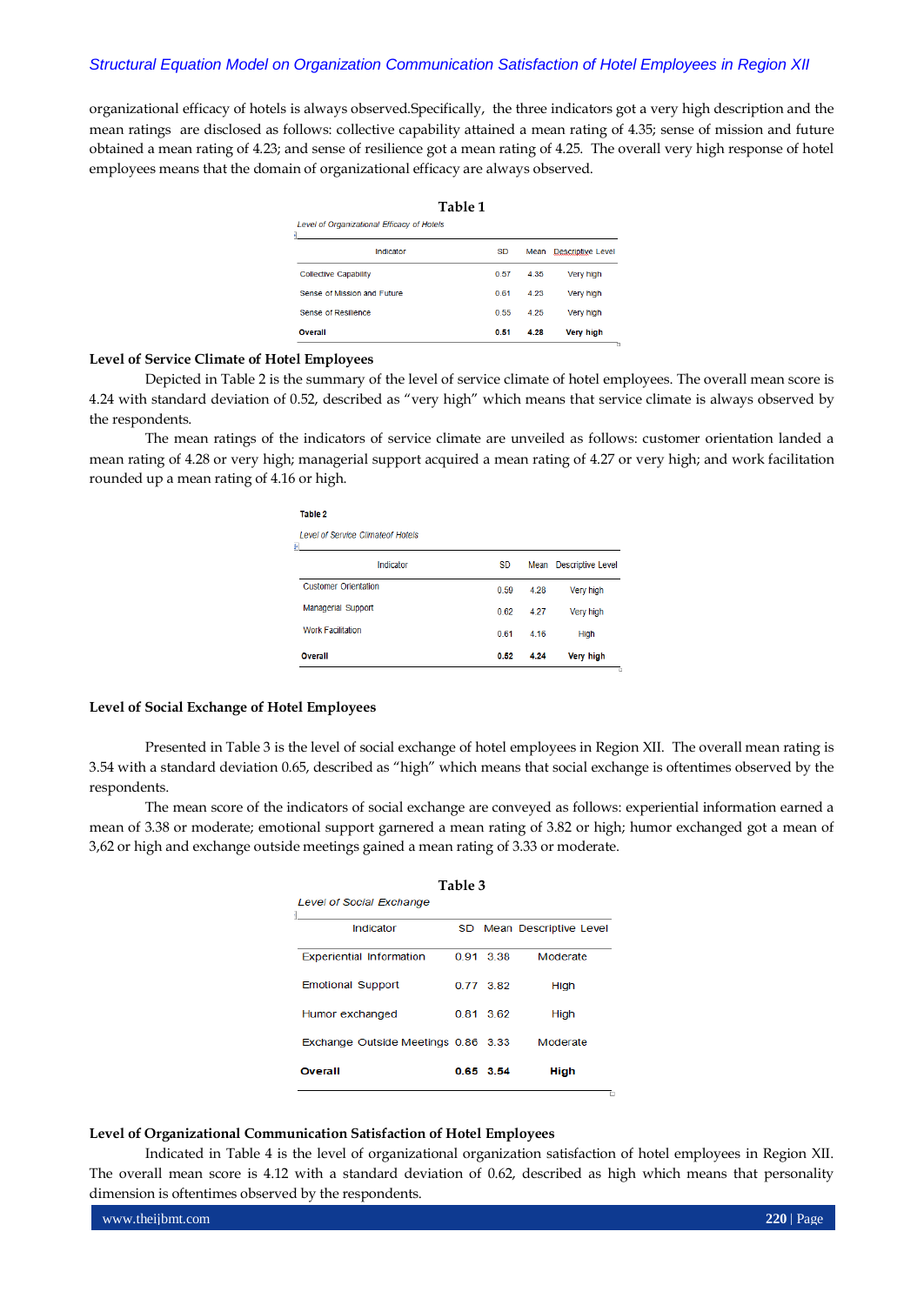organizational efficacy of hotels is always observed.Specifically, the three indicators got a very high description and the mean ratings are disclosed as follows: collective capability attained a mean rating of 4.35; sense of mission and future obtained a mean rating of 4.23; and sense of resilience got a mean rating of 4.25. The overall very high response of hotel employees means that the domain of organizational efficacy are always observed.

| Table 1                                    |           |       |                          |  |  |  |  |
|--------------------------------------------|-----------|-------|--------------------------|--|--|--|--|
| Level of Organizational Efficacy of Hotels |           |       |                          |  |  |  |  |
| Indicator                                  | <b>SD</b> | Mean  | <b>Descriptive Level</b> |  |  |  |  |
| <b>Collective Capability</b>               | 0.57      | 4 3 5 | <b>Very high</b>         |  |  |  |  |
| Sense of Mission and Future                | 0.61      | 4.23  | Very high                |  |  |  |  |
| Sense of Resilience                        | 0.55      | 4.25  | Very high                |  |  |  |  |
| Overall                                    | 0.51      | 4.28  | <b>Very high</b>         |  |  |  |  |

#### **Level of Service Climate of Hotel Employees**

**Toble 0** 

Depicted in Table 2 is the summary of the level of service climate of hotel employees. The overall mean score is 4.24 with standard deviation of 0.52, described as "very high" which means that service climate is always observed by the respondents.

The mean ratings of the indicators of service climate are unveiled as follows: customer orientation landed a mean rating of 4.28 or very high; managerial support acquired a mean rating of 4.27 or very high; and work facilitation rounded up a mean rating of 4.16 or high.

| <b>Overall</b>                                | 0.52      | 4.24 | <b>Very high</b>         |
|-----------------------------------------------|-----------|------|--------------------------|
| <b>Work Facilitation</b>                      | 0.61      | 4.16 | High                     |
| <b>Managerial Support</b>                     | 0.62      | 4.27 | Very high                |
| <b>Customer Orientation</b>                   | 0.59      | 4.28 | Very high                |
| Indicator                                     | <b>SD</b> | Mean | <b>Descriptive Level</b> |
| <b>Level of Service Climateof Hotels</b><br>F |           |      |                          |
| .                                             |           |      |                          |

## **Level of Social Exchange of Hotel Employees**

Presented in Table 3 is the level of social exchange of hotel employees in Region XII. The overall mean rating is 3.54 with a standard deviation 0.65, described as "high" which means that social exchange is oftentimes observed by the respondents.

The mean score of the indicators of social exchange are conveyed as follows: experiential information earned a mean of 3.38 or moderate; emotional support garnered a mean rating of 3.82 or high; humor exchanged got a mean of 3,62 or high and exchange outside meetings gained a mean rating of 3.33 or moderate.

| Table 3                             |  |             |                           |  |  |  |
|-------------------------------------|--|-------------|---------------------------|--|--|--|
| <b>Level of Social Exchange</b>     |  |             |                           |  |  |  |
| Indicator                           |  |             | SD Mean Descriptive Level |  |  |  |
| <b>Experiential Information</b>     |  | 0.91 3.38   | Moderate                  |  |  |  |
| <b>Emotional Support</b>            |  | 0.77 3.82   | High                      |  |  |  |
| Humor exchanged                     |  | 0 81 3 62   | High                      |  |  |  |
| Exchange Outside Meetings 0.86 3.33 |  |             | Moderate                  |  |  |  |
| Overall                             |  | $0.65$ 3.54 | High                      |  |  |  |

#### **Level of Organizational Communication Satisfaction of Hotel Employees**

Indicated in Table 4 is the level of organizational organization satisfaction of hotel employees in Region XII. The overall mean score is 4.12 with a standard deviation of 0.62, described as high which means that personality dimension is oftentimes observed by the respondents.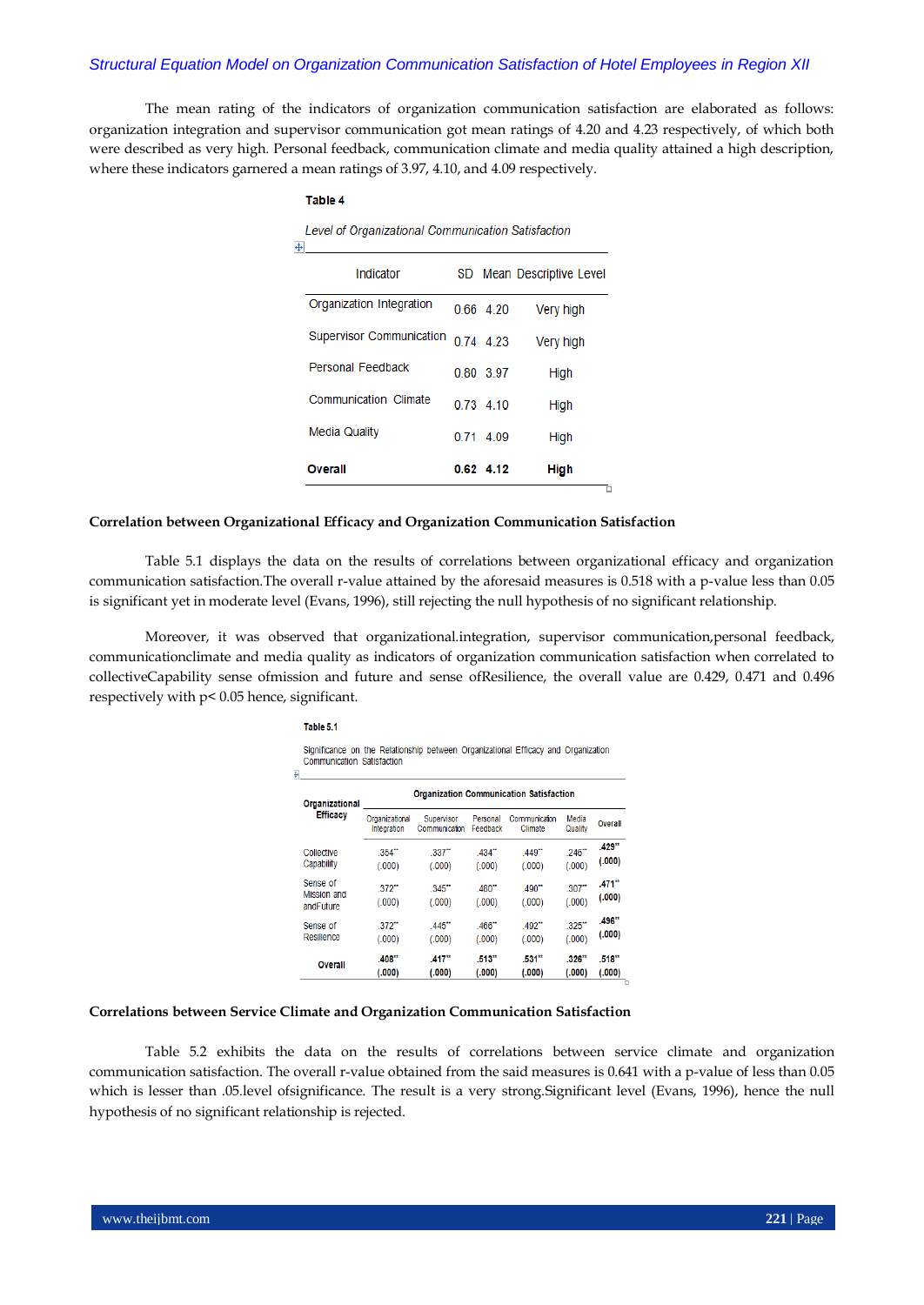The mean rating of the indicators of organization communication satisfaction are elaborated as follows: organization integration and supervisor communication got mean ratings of 4.20 and 4.23 respectively, of which both were described as very high. Personal feedback, communication climate and media quality attained a high description, where these indicators garnered a mean ratings of 3.97, 4.10, and 4.09 respectively.

#### **Table 4**

Level of Organizational Communication Satisfaction

| Overall                  |      | $0.62$ 4.12 | <b>High</b>            |
|--------------------------|------|-------------|------------------------|
|                          |      |             |                        |
| Media Quality            | 0.71 | 4.09        | High                   |
| Communication Climate    |      | 0 73 4 10   | High                   |
| Personal Feedback        |      | 0.80 3.97   | High                   |
| Supervisor Communication |      | 074 423     | Very high              |
| Organization Integration |      | 0.66 4.20   | Very high              |
| Indicator                | SD.  |             | Mean Descriptive Level |
| ۲                        |      |             |                        |

#### **Correlation between Organizational Efficacy and Organization Communication Satisfaction**

Table 5.1 displays the data on the results of correlations between organizational efficacy and organization communication satisfaction.The overall r-value attained by the aforesaid measures is 0.518 with a p-value less than 0.05 is significant yet in moderate level (Evans, 1996), still rejecting the null hypothesis of no significant relationship.

Moreover, it was observed that organizational.integration, supervisor communication,personal feedback, communicationclimate and media quality as indicators of organization communication satisfaction when correlated to collectiveCapability sense ofmission and future and sense ofResilience, the overall value are 0.429, 0.471 and 0.496 respectively with p< 0.05 hence, significant.

#### Table 5.1

Significance on the Relationship between Organizational Efficacy and Organization Communication Satisfaction

| Organizational<br><b>Efficacy</b>    | <b>Organization Communication Satisfaction</b> |                                |                                |                                |                    |                                |  |  |  |
|--------------------------------------|------------------------------------------------|--------------------------------|--------------------------------|--------------------------------|--------------------|--------------------------------|--|--|--|
|                                      | Organizational<br>Integration                  | Supervisor<br>Communication    | Personal<br>Feedback           | Communication<br>Climate       | Media<br>Quality   | <b>Overall</b>                 |  |  |  |
| Collective<br>Capability             | $.354$ <sup>**</sup><br>(.000)                 | 337"<br>(.000)                 | $.434$ <sup>**</sup><br>(.000) | $.449$ <sup>**</sup><br>(.000) | $.246$ *<br>(.000) | .429"<br>(.000)                |  |  |  |
| Sense of<br>Mission and<br>andFuture | $.372$ <sup>**</sup><br>(.000)                 | .345"<br>(.000)                | .480"<br>(.000)                | $490^{\circ}$<br>(.000)        | .307<br>(.000)     | $.471$ <sup>**</sup><br>(.000) |  |  |  |
| Sense of<br>Resilience               | $.372$ **<br>(.000)                            | .445"<br>(.000)                | .466"<br>(.000)                | $.492$ <sup>**</sup><br>(.000) | $.325$ "<br>(.000) | .496"<br>(.000)                |  |  |  |
| <b>Overall</b>                       | .408"<br>(.000)                                | $.417$ <sup>**</sup><br>(.000) | .513"<br>(.000)                | .531"<br>(.000)                | .326"<br>(.000)    | .518"<br>(.000)                |  |  |  |

#### **Correlations between Service Climate and Organization Communication Satisfaction**

Table 5.2 exhibits the data on the results of correlations between service climate and organization communication satisfaction. The overall r-value obtained from the said measures is 0.641 with a p-value of less than 0.05 which is lesser than .05.level ofsignificance. The result is a very strong.Significant level (Evans, 1996), hence the null hypothesis of no significant relationship is rejected.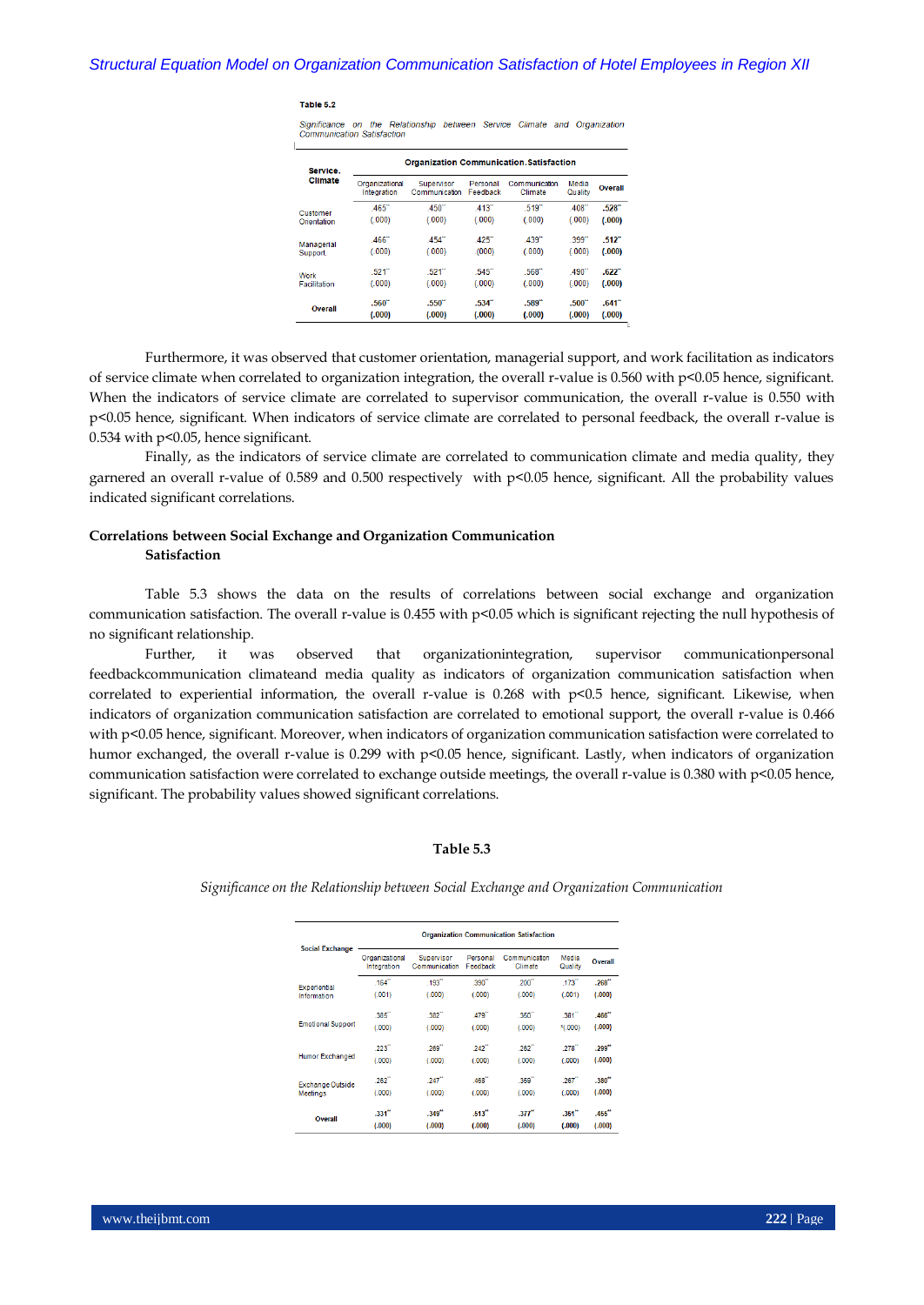#### Table 5.2

Significance on the Relationship between Service Climate and Organization Communication Satisfaction

| Service.            | <b>Organization Communication.Satisfaction</b> |                             |                                |                          |                     |                                |  |  |
|---------------------|------------------------------------------------|-----------------------------|--------------------------------|--------------------------|---------------------|--------------------------------|--|--|
| Climate             | Organizational<br>Integration                  | Supervisor<br>Communication | Personal<br>Feedback           | Communication<br>Climate | Media<br>Quality    | <b>Overall</b>                 |  |  |
| Customer            | $.465$ "                                       | .450"                       | .413                           | $.519$ <sup>"</sup>      | .408                | $.528^{\circ}$                 |  |  |
| Orientation         | (.000)                                         | (.000)                      | (.000)                         | (.000)                   | (.000)              | (.000)                         |  |  |
| Managerial          | .466                                           | .454                        | .425                           | .439                     | $.399$ <sup>"</sup> | $.512$ <sup>*</sup>            |  |  |
| Support.            | (.000)                                         | (.000)                      | (000)                          | (.000)                   | (.000)              | (.000)                         |  |  |
| Work                | 521"                                           | 521"                        | 545"                           | 568"                     | 490"                | $.622$ <sup>**</sup>           |  |  |
| <b>Facilitation</b> | (.000)                                         | (.000)                      | (.000)                         | (.000)                   | (.000)              | (.000)                         |  |  |
| Overall             | .560"<br>(.000)                                | .550"<br>(.000)             | $.534$ <sup>**</sup><br>(.000) | .589''<br>(.000)         | .500"<br>(.000)     | $.641$ <sup>**</sup><br>(.000) |  |  |

Furthermore, it was observed that customer orientation, managerial support, and work facilitation as indicators of service climate when correlated to organization integration, the overall r-value is 0.560 with  $p<0.05$  hence, significant. When the indicators of service climate are correlated to supervisor communication, the overall r-value is 0.550 with p<0.05 hence, significant. When indicators of service climate are correlated to personal feedback, the overall r-value is 0.534 with p<0.05, hence significant.

Finally, as the indicators of service climate are correlated to communication climate and media quality, they garnered an overall r-value of 0.589 and 0.500 respectively with p<0.05 hence, significant. All the probability values indicated significant correlations.

# **Correlations between Social Exchange and Organization Communication Satisfaction**

Table 5.3 shows the data on the results of correlations between social exchange and organization communication satisfaction. The overall r-value is 0.455 with p<0.05 which is significant rejecting the null hypothesis of no significant relationship.

Further, it was observed that organizationintegration, supervisor communicationpersonal feedbackcommunication climateand media quality as indicators of organization communication satisfaction when correlated to experiential information, the overall r-value is 0.268 with p<0.5 hence, significant. Likewise, when indicators of organization communication satisfaction are correlated to emotional support, the overall r-value is 0.466 with p<0.05 hence, significant. Moreover, when indicators of organization communication satisfaction were correlated to humor exchanged, the overall r-value is 0.299 with p<0.05 hence, significant. Lastly, when indicators of organization communication satisfaction were correlated to exchange outside meetings, the overall r-value is 0.380 with p<0.05 hence, significant. The probability values showed significant correlations.

#### **Table 5.3**

*Significance on the Relationship between Social Exchange and Organization Communication*

|                          | <b>Organization Communication Satisfaction</b> |                             |                      |                          |                  |                      |  |  |
|--------------------------|------------------------------------------------|-----------------------------|----------------------|--------------------------|------------------|----------------------|--|--|
| <b>Social Exchange</b>   | Organizational<br>Integration                  | Supervisor<br>Communication | Personal<br>Feedback | Communication<br>Climate | Media<br>Quality | Overall              |  |  |
| Experiential             | .164''                                         | .193''                      | .390"                | .200                     | .173             | .268''               |  |  |
| Information              | (.001)                                         | (.000)                      | (.000)               | (000)                    | (.001)           | (.000)               |  |  |
|                          | .385                                           | .382"                       | .479"                | .350"                    | .381             | .466"                |  |  |
| <b>Emotional Support</b> | (.000)                                         | (.000)                      | (.000)               | (.000)                   | *(.000)          | (.000)               |  |  |
|                          | 223"                                           | 269"                        | 242"                 | .262"                    | .278             | .299"                |  |  |
| Humor Exchanged          | (.000)                                         | (.000)                      | (.000)               | (.000)                   | (.000)           | (.000)               |  |  |
| Exchange Outside         | $.262$ <sup>"</sup>                            | .247                        | .468"                | .359"                    | .267             | .380''               |  |  |
| <b>Meetings</b>          | (000)                                          | (.000)                      | (.000)               | (000)                    | (.000)           | (.000)               |  |  |
|                          | .331''                                         | .349''                      | .513''               | .377''                   | .351"            | $.455$ <sup>**</sup> |  |  |
| Overall                  | (.000)                                         | (0.000)                     | (.000)               | (.000)                   | (.000)           | (0.000)              |  |  |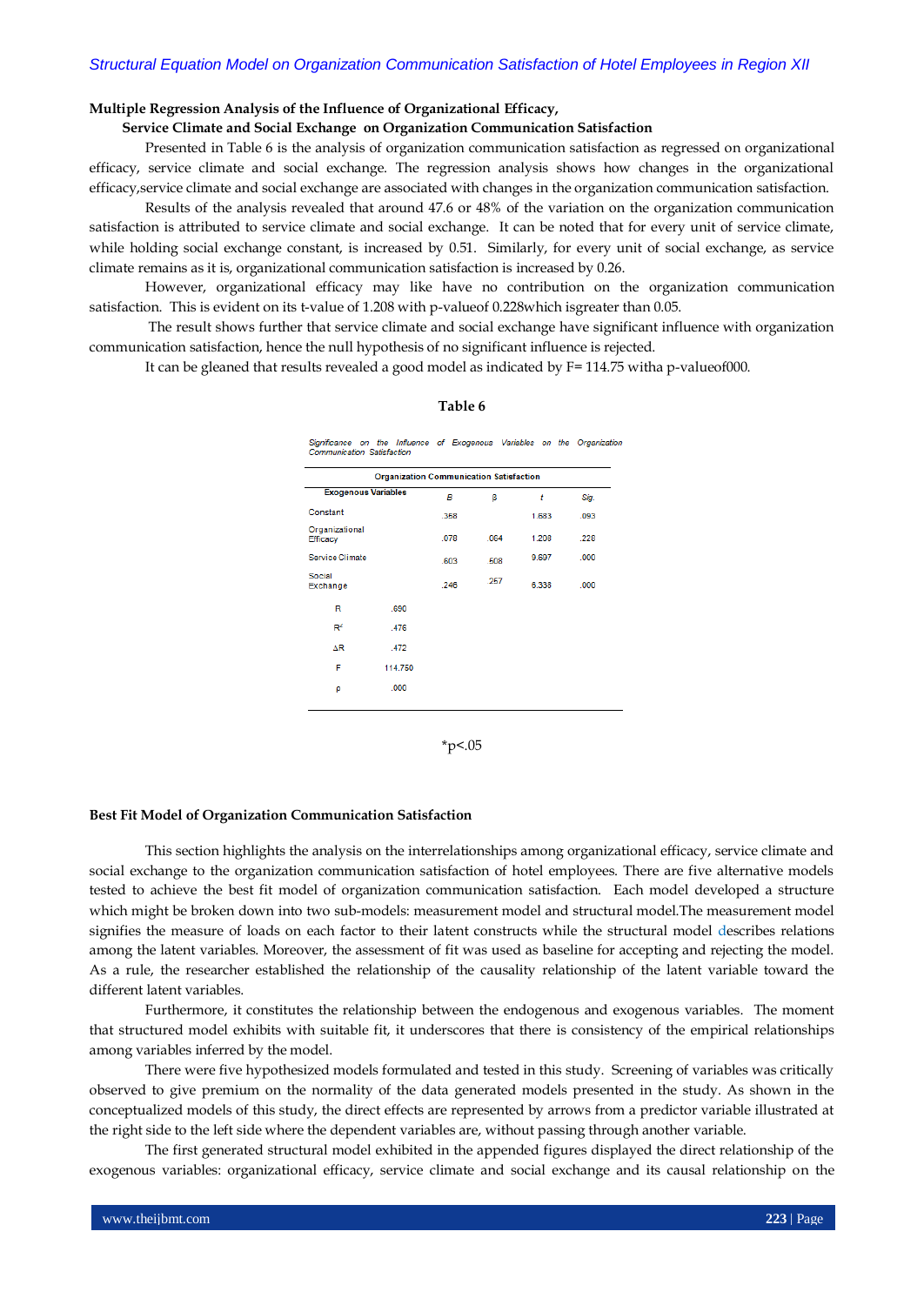# **Multiple Regression Analysis of the Influence of Organizational Efficacy,**

# **Service Climate and Social Exchange on Organization Communication Satisfaction**

Presented in Table 6 is the analysis of organization communication satisfaction as regressed on organizational efficacy, service climate and social exchange. The regression analysis shows how changes in the organizational efficacy,service climate and social exchange are associated with changes in the organization communication satisfaction.

Results of the analysis revealed that around 47.6 or 48% of the variation on the organization communication satisfaction is attributed to service climate and social exchange. It can be noted that for every unit of service climate, while holding social exchange constant, is increased by 0.51. Similarly, for every unit of social exchange, as service climate remains as it is, organizational communication satisfaction is increased by 0.26.

However, organizational efficacy may like have no contribution on the organization communication satisfaction. This is evident on its t-value of 1.208 with p-valueof 0.228which isgreater than 0.05.

The result shows further that service climate and social exchange have significant influence with organization communication satisfaction, hence the null hypothesis of no significant influence is rejected.

It can be gleaned that results revealed a good model as indicated by F= 114.75 witha p-valueof000.

#### **Table 6**

Significance on the Influence of Exogenous Variables on the Organization Communication Satisfaction

|                                   | <b>Organization Communication Satisfaction</b> |      |      |       |      |
|-----------------------------------|------------------------------------------------|------|------|-------|------|
| <b>Exogenous Variables</b>        |                                                | в    | β    | t     | Sig. |
| Constant                          |                                                | .358 |      | 1.683 | .093 |
| Organizational<br><b>Efficacy</b> |                                                | .078 | .064 | 1.208 | .228 |
| Service Climate                   |                                                | .603 | .508 | 9.697 | .000 |
| Social<br>Exchange                |                                                | .246 | .257 | 6.338 | .000 |
| R                                 | .690                                           |      |      |       |      |
| $R^2$                             | .476                                           |      |      |       |      |
| ΔR                                | .472                                           |      |      |       |      |
| F                                 | 114.750                                        |      |      |       |      |
| ρ                                 | .000                                           |      |      |       |      |
|                                   |                                                |      |      |       |      |

 $*p<.05$ 

#### **Best Fit Model of Organization Communication Satisfaction**

This section highlights the analysis on the interrelationships among organizational efficacy, service climate and social exchange to the organization communication satisfaction of hotel employees. There are five alternative models tested to achieve the best fit model of organization communication satisfaction. Each model developed a structure which might be broken down into two sub-models: measurement model and structural model.The measurement model signifies the measure of loads on each factor to their latent constructs while the structural model describes relations among the latent variables. Moreover, the assessment of fit was used as baseline for accepting and rejecting the model. As a rule, the researcher established the relationship of the causality relationship of the latent variable toward the different latent variables.

Furthermore, it constitutes the relationship between the endogenous and exogenous variables. The moment that structured model exhibits with suitable fit, it underscores that there is consistency of the empirical relationships among variables inferred by the model.

There were five hypothesized models formulated and tested in this study. Screening of variables was critically observed to give premium on the normality of the data generated models presented in the study. As shown in the conceptualized models of this study, the direct effects are represented by arrows from a predictor variable illustrated at the right side to the left side where the dependent variables are, without passing through another variable.

The first generated structural model exhibited in the appended figures displayed the direct relationship of the exogenous variables: organizational efficacy, service climate and social exchange and its causal relationship on the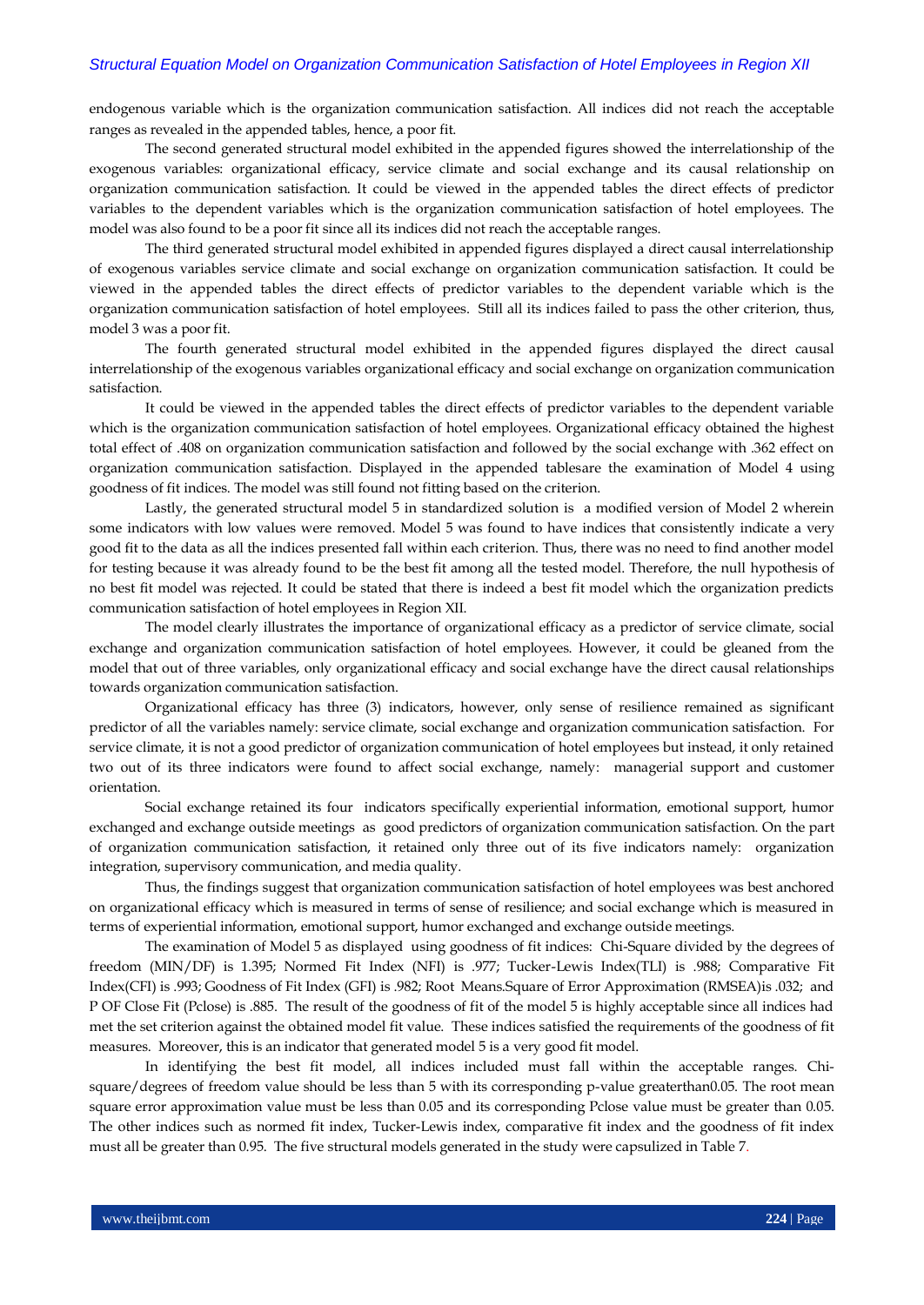endogenous variable which is the organization communication satisfaction. All indices did not reach the acceptable ranges as revealed in the appended tables, hence, a poor fit.

The second generated structural model exhibited in the appended figures showed the interrelationship of the exogenous variables: organizational efficacy, service climate and social exchange and its causal relationship on organization communication satisfaction. It could be viewed in the appended tables the direct effects of predictor variables to the dependent variables which is the organization communication satisfaction of hotel employees. The model was also found to be a poor fit since all its indices did not reach the acceptable ranges.

The third generated structural model exhibited in appended figures displayed a direct causal interrelationship of exogenous variables service climate and social exchange on organization communication satisfaction. It could be viewed in the appended tables the direct effects of predictor variables to the dependent variable which is the organization communication satisfaction of hotel employees. Still all its indices failed to pass the other criterion, thus, model 3 was a poor fit.

The fourth generated structural model exhibited in the appended figures displayed the direct causal interrelationship of the exogenous variables organizational efficacy and social exchange on organization communication satisfaction.

It could be viewed in the appended tables the direct effects of predictor variables to the dependent variable which is the organization communication satisfaction of hotel employees. Organizational efficacy obtained the highest total effect of .408 on organization communication satisfaction and followed by the social exchange with .362 effect on organization communication satisfaction. Displayed in the appended tablesare the examination of Model 4 using goodness of fit indices. The model was still found not fitting based on the criterion.

Lastly, the generated structural model 5 in standardized solution is a modified version of Model 2 wherein some indicators with low values were removed. Model 5 was found to have indices that consistently indicate a very good fit to the data as all the indices presented fall within each criterion. Thus, there was no need to find another model for testing because it was already found to be the best fit among all the tested model. Therefore, the null hypothesis of no best fit model was rejected. It could be stated that there is indeed a best fit model which the organization predicts communication satisfaction of hotel employees in Region XII.

The model clearly illustrates the importance of organizational efficacy as a predictor of service climate, social exchange and organization communication satisfaction of hotel employees. However, it could be gleaned from the model that out of three variables, only organizational efficacy and social exchange have the direct causal relationships towards organization communication satisfaction.

Organizational efficacy has three (3) indicators, however, only sense of resilience remained as significant predictor of all the variables namely: service climate, social exchange and organization communication satisfaction. For service climate, it is not a good predictor of organization communication of hotel employees but instead, it only retained two out of its three indicators were found to affect social exchange, namely: managerial support and customer orientation.

Social exchange retained its four indicators specifically experiential information, emotional support, humor exchanged and exchange outside meetings as good predictors of organization communication satisfaction. On the part of organization communication satisfaction, it retained only three out of its five indicators namely: organization integration, supervisory communication, and media quality.

Thus, the findings suggest that organization communication satisfaction of hotel employees was best anchored on organizational efficacy which is measured in terms of sense of resilience; and social exchange which is measured in terms of experiential information, emotional support, humor exchanged and exchange outside meetings.

The examination of Model 5 as displayed using goodness of fit indices: Chi-Square divided by the degrees of freedom (MIN/DF) is 1.395; Normed Fit Index (NFI) is .977; Tucker-Lewis Index(TLI) is .988; Comparative Fit Index(CFI) is .993; Goodness of Fit Index (GFI) is .982; Root Means.Square of Error Approximation (RMSEA)is .032; and P OF Close Fit (Pclose) is .885. The result of the goodness of fit of the model 5 is highly acceptable since all indices had met the set criterion against the obtained model fit value. These indices satisfied the requirements of the goodness of fit measures. Moreover, this is an indicator that generated model 5 is a very good fit model.

In identifying the best fit model, all indices included must fall within the acceptable ranges. Chisquare/degrees of freedom value should be less than 5 with its corresponding p-value greaterthan0.05. The root mean square error approximation value must be less than 0.05 and its corresponding Pclose value must be greater than 0.05. The other indices such as normed fit index, Tucker-Lewis index, comparative fit index and the goodness of fit index must all be greater than 0.95. The five structural models generated in the study were capsulized in Table 7.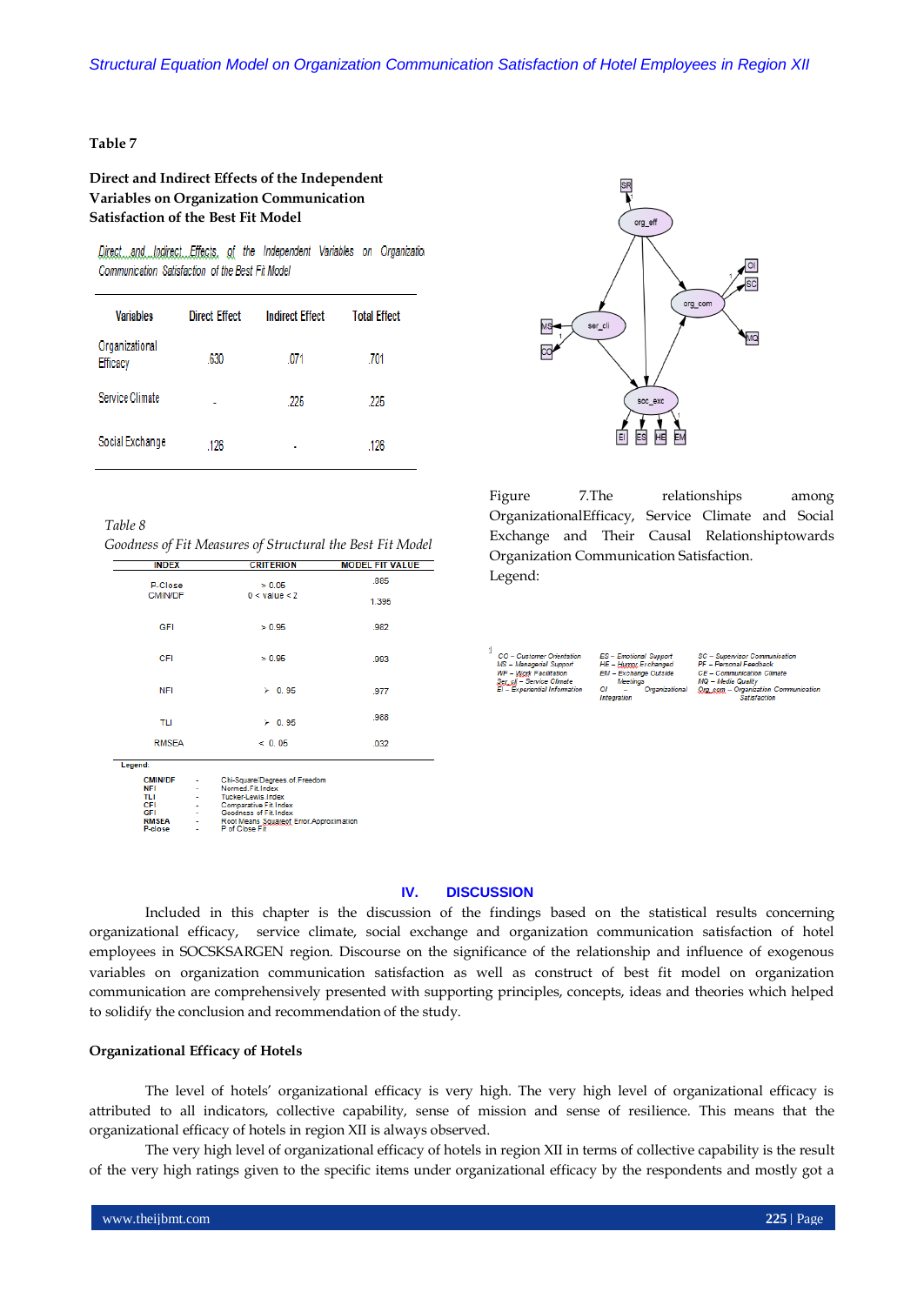# **Table 7**

# **Direct and Indirect Effects of the Independent Variables on Organization Communication Satisfaction of the Best Fit Model**

Direct. and Indirect Effects, of the Independent Variables on Organization Communication Satisfaction of the Best Fit Model

| <b>Variables</b>           | <b>Direct Effect</b> | <b>Indirect Effect</b> | <b>Total Effect</b> |
|----------------------------|----------------------|------------------------|---------------------|
| Organizational<br>Efficacy | .630                 | .071                   | .701                |
| Service Climate            | ۰                    | .225                   | .225                |
| Social Exchange            | .126                 | ٠                      | .126                |



*Goodness of Fit Measures of Structural the Best Fit Model*

| <b>INDEX</b>   | <b>CRITERION</b>  | <b>MODEL FIT VALUE</b> |  |
|----------------|-------------------|------------------------|--|
| P-Close        | > 0.05            | .885                   |  |
| <b>CMIN/DF</b> | $0 <$ value $<$ 2 | 1.395                  |  |
| GFI            | > 0.95            | .982                   |  |
| CFI            | > 0.95            | .993                   |  |
| <b>NFI</b>     | $\geq 0.95$       | .977                   |  |
| TLI            | $\geq 0.95$       | .988                   |  |
| <b>RMSEA</b>   | < 0.05            | .032                   |  |
| Legend:        |                   |                        |  |

| <b>CMIN/DF</b> | $\overline{\phantom{a}}$ | Chi-Square/Degrees.of.Freedom            |
|----------------|--------------------------|------------------------------------------|
| NFI            | ä,                       | Normed.Fit.Index                         |
| TLI            |                          | <b>Tucker-Lewis Index</b>                |
| CFI            | ÷                        | <b>Comparative Fit. Index</b>            |
| GFI            | ×                        | Goodness of Fit Index                    |
| <b>RMSEA</b>   | ۰                        | Root Means Squareof Error. Approximation |
| P-close        | $\blacksquare$           | P of Close Fit                           |



Figure 7.The relationships among OrganizationalEfficacy, Service Climate and Social Exchange and Their Causal Relationshiptowards Organization Communication Satisfaction. Legend:

| <b>CO</b> - Customer Orientation | E  |
|----------------------------------|----|
| MS - Managerial Support          | н  |
| <b>WF</b> – Work Facilitation    | El |
| Ser cli - Service Climate        |    |
| EI - Experiential Information    | Oi |

PF - Personal Feedh MQ – Media Quality<br>| <u>Qrg .çom</u> – Organization<br>| Satisfaction ,<br>tation Communication

# **IV. DISCUSSION**

Included in this chapter is the discussion of the findings based on the statistical results concerning organizational efficacy, service climate, social exchange and organization communication satisfaction of hotel employees in SOCSKSARGEN region. Discourse on the significance of the relationship and influence of exogenous variables on organization communication satisfaction as well as construct of best fit model on organization communication are comprehensively presented with supporting principles, concepts, ideas and theories which helped to solidify the conclusion and recommendation of the study.

# **Organizational Efficacy of Hotels**

The level of hotels' organizational efficacy is very high. The very high level of organizational efficacy is attributed to all indicators, collective capability, sense of mission and sense of resilience. This means that the organizational efficacy of hotels in region XII is always observed.

The very high level of organizational efficacy of hotels in region XII in terms of collective capability is the result of the very high ratings given to the specific items under organizational efficacy by the respondents and mostly got a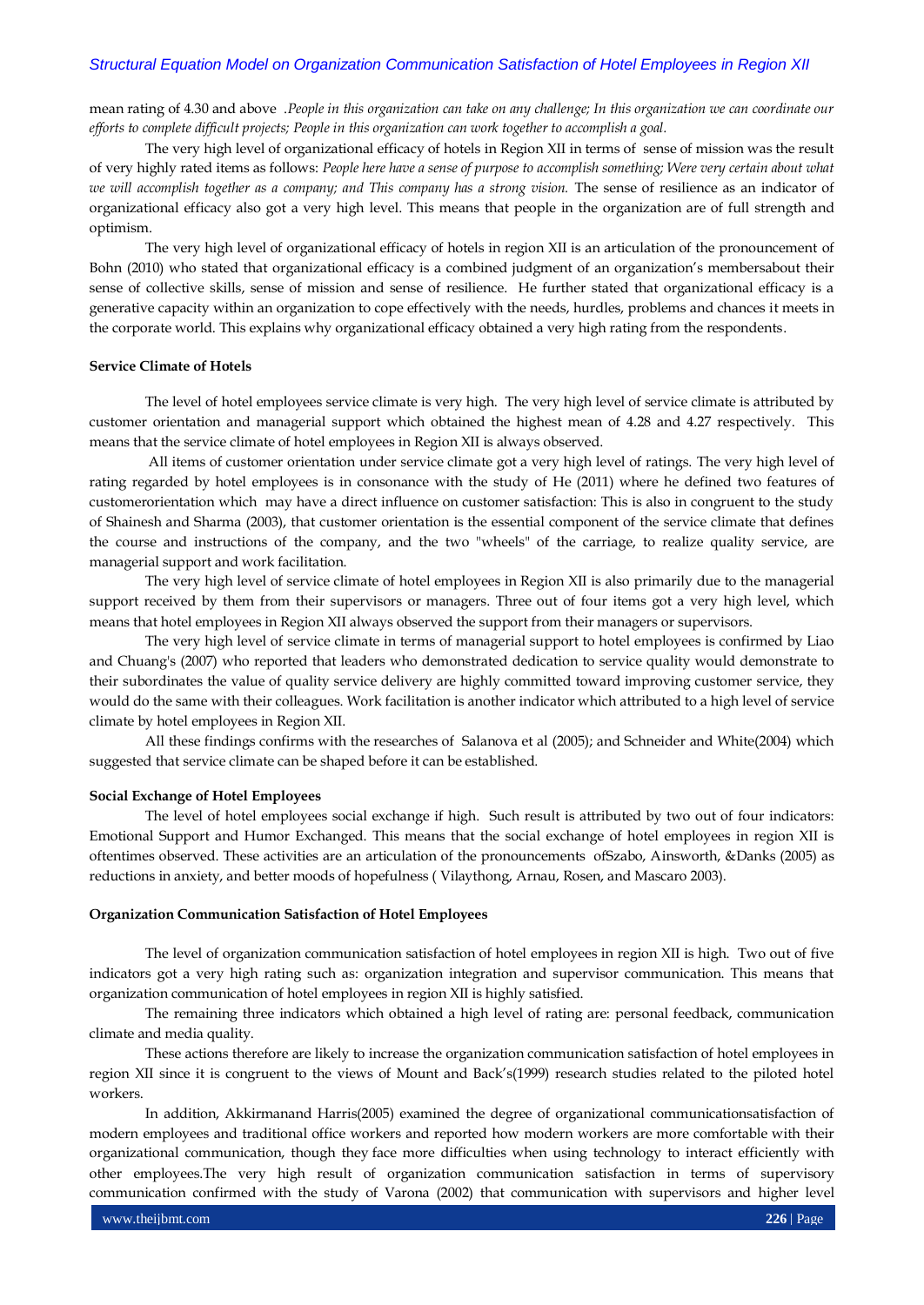mean rating of 4.30 and above .*People in this organization can take on any challenge; In this organization we can coordinate our efforts to complete difficult projects; People in this organization can work together to accomplish a goal.*

The very high level of organizational efficacy of hotels in Region XII in terms of sense of mission was the result of very highly rated items as follows: *People here have a sense of purpose to accomplish something; Were very certain about what we will accomplish together as a company; and This company has a strong vision.* The sense of resilience as an indicator of organizational efficacy also got a very high level. This means that people in the organization are of full strength and optimism.

The very high level of organizational efficacy of hotels in region XII is an articulation of the pronouncement of Bohn (2010) who stated that organizational efficacy is a combined judgment of an organization's membersabout their sense of collective skills, sense of mission and sense of resilience. He further stated that organizational efficacy is a generative capacity within an organization to cope effectively with the needs, hurdles, problems and chances it meets in the corporate world. This explains why organizational efficacy obtained a very high rating from the respondents.

# **Service Climate of Hotels**

The level of hotel employees service climate is very high. The very high level of service climate is attributed by customer orientation and managerial support which obtained the highest mean of 4.28 and 4.27 respectively. This means that the service climate of hotel employees in Region XII is always observed.

All items of customer orientation under service climate got a very high level of ratings. The very high level of rating regarded by hotel employees is in consonance with the study of He (2011) where he defined two features of customerorientation which may have a direct influence on customer satisfaction: This is also in congruent to the study of Shainesh and Sharma (2003), that customer orientation is the essential component of the service climate that defines the course and instructions of the company, and the two "wheels" of the carriage, to realize quality service, are managerial support and work facilitation.

The very high level of service climate of hotel employees in Region XII is also primarily due to the managerial support received by them from their supervisors or managers. Three out of four items got a very high level, which means that hotel employees in Region XII always observed the support from their managers or supervisors.

The very high level of service climate in terms of managerial support to hotel employees is confirmed by Liao and Chuang's (2007) who reported that leaders who demonstrated dedication to service quality would demonstrate to their subordinates the value of quality service delivery are highly committed toward improving customer service, they would do the same with their colleagues. Work facilitation is another indicator which attributed to a high level of service climate by hotel employees in Region XII.

All these findings confirms with the researches of Salanova et al (2005); and Schneider and White(2004) which suggested that service climate can be shaped before it can be established.

#### **Social Exchange of Hotel Employees**

The level of hotel employees social exchange if high. Such result is attributed by two out of four indicators: Emotional Support and Humor Exchanged. This means that the social exchange of hotel employees in region XII is oftentimes observed. These activities are an articulation of the pronouncements ofSzabo, Ainsworth, &Danks (2005) as reductions in anxiety, and better moods of hopefulness ( Vilaythong, Arnau, Rosen, and Mascaro 2003).

## **Organization Communication Satisfaction of Hotel Employees**

The level of organization communication satisfaction of hotel employees in region XII is high. Two out of five indicators got a very high rating such as: organization integration and supervisor communication. This means that organization communication of hotel employees in region XII is highly satisfied.

The remaining three indicators which obtained a high level of rating are: personal feedback, communication climate and media quality.

These actions therefore are likely to increase the organization communication satisfaction of hotel employees in region XII since it is congruent to the views of Mount and Back's(1999) research studies related to the piloted hotel workers.

In addition, Akkirmanand Harris(2005) examined the degree of organizational communicationsatisfaction of modern employees and traditional office workers and reported how modern workers are more comfortable with their organizational communication, though they face more difficulties when using technology to interact efficiently with other employees.The very high result of organization communication satisfaction in terms of supervisory communication confirmed with the study of Varona (2002) that communication with supervisors and higher level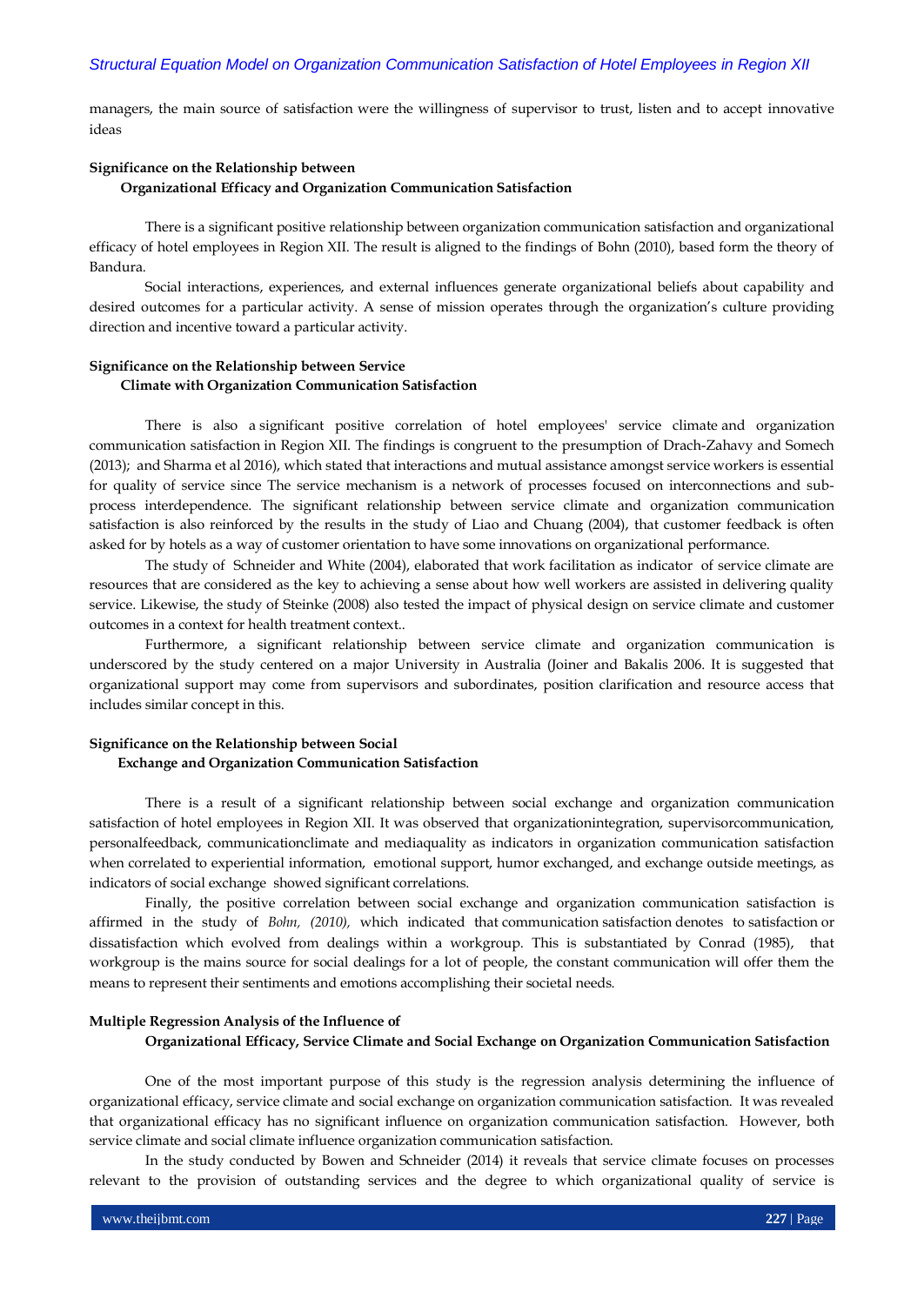managers, the main source of satisfaction were the willingness of supervisor to trust, listen and to accept innovative ideas

#### **Significance on the Relationship between**

#### **Organizational Efficacy and Organization Communication Satisfaction**

There is a significant positive relationship between organization communication satisfaction and organizational efficacy of hotel employees in Region XII. The result is aligned to the findings of Bohn (2010), based form the theory of Bandura.

Social interactions, experiences, and external influences generate organizational beliefs about capability and desired outcomes for a particular activity. A sense of mission operates through the organization's culture providing direction and incentive toward a particular activity.

# **Significance on the Relationship between Service Climate with Organization Communication Satisfaction**

There is also a significant positive correlation of hotel employees' service climate and organization communication satisfaction in Region XII. The findings is congruent to the presumption of Drach-Zahavy and Somech (2013); and Sharma et al 2016), which stated that interactions and mutual assistance amongst service workers is essential for quality of service since The service mechanism is a network of processes focused on interconnections and subprocess interdependence. The significant relationship between service climate and organization communication satisfaction is also reinforced by the results in the study of Liao and Chuang (2004), that customer feedback is often asked for by hotels as a way of customer orientation to have some innovations on organizational performance.

The study of Schneider and White (2004), elaborated that work facilitation as indicator of service climate are resources that are considered as the key to achieving a sense about how well workers are assisted in delivering quality service. Likewise, the study of Steinke (2008) also tested the impact of physical design on service climate and customer outcomes in a context for health treatment context..

Furthermore, a significant relationship between service climate and organization communication is underscored by the study centered on a major University in Australia (Joiner and Bakalis 2006. It is suggested that organizational support may come from supervisors and subordinates, position clarification and resource access that includes similar concept in this.

# **Significance on the Relationship between Social Exchange and Organization Communication Satisfaction**

There is a result of a significant relationship between social exchange and organization communication satisfaction of hotel employees in Region XII. It was observed that organizationintegration, supervisorcommunication, personalfeedback, communicationclimate and mediaquality as indicators in organization communication satisfaction when correlated to experiential information, emotional support, humor exchanged, and exchange outside meetings, as indicators of social exchange showed significant correlations.

Finally, the positive correlation between social exchange and organization communication satisfaction is affirmed in the study of *Bohn, (2010),* which indicated that communication satisfaction denotes to satisfaction or dissatisfaction which evolved from dealings within a workgroup. This is substantiated by Conrad (1985), that workgroup is the mains source for social dealings for a lot of people, the constant communication will offer them the means to represent their sentiments and emotions accomplishing their societal needs.

# **Multiple Regression Analysis of the Influence of Organizational Efficacy, Service Climate and Social Exchange on Organization Communication Satisfaction**

One of the most important purpose of this study is the regression analysis determining the influence of organizational efficacy, service climate and social exchange on organization communication satisfaction. It was revealed that organizational efficacy has no significant influence on organization communication satisfaction. However, both service climate and social climate influence organization communication satisfaction.

In the study conducted by Bowen and Schneider (2014) it reveals that service climate focuses on processes relevant to the provision of outstanding services and the degree to which organizational quality of service is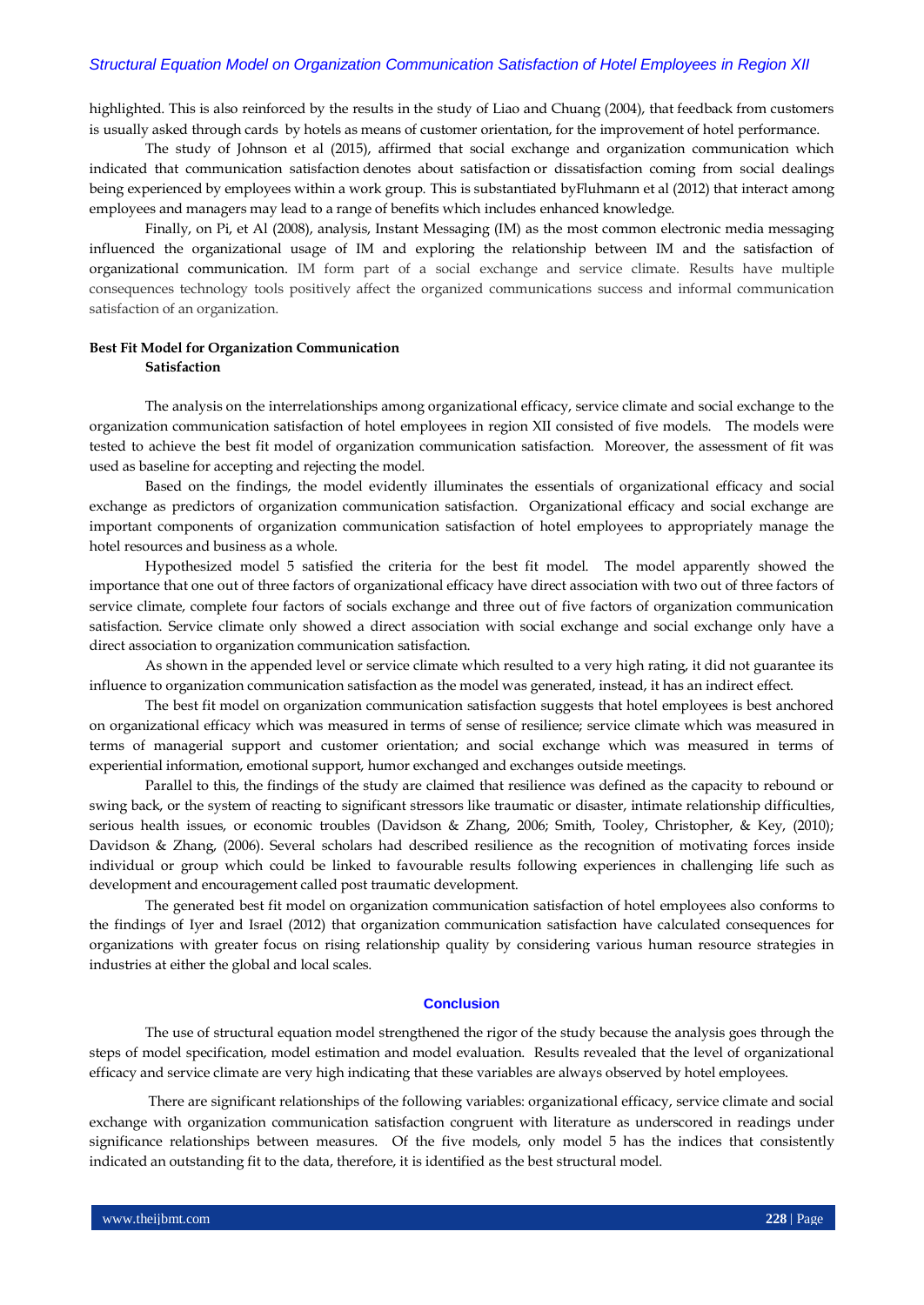highlighted. This is also reinforced by the results in the study of Liao and Chuang (2004), that feedback from customers is usually asked through cards by hotels as means of customer orientation, for the improvement of hotel performance.

The study of Johnson et al (2015), affirmed that social exchange and organization communication which indicated that communication satisfaction denotes about satisfaction or dissatisfaction coming from social dealings being experienced by employees within a work group. This is substantiated byFluhmann et al (2012) that interact among employees and managers may lead to a range of benefits which includes enhanced knowledge.

Finally, on Pi, et Al (2008), analysis, Instant Messaging (IM) as the most common electronic media messaging influenced the organizational usage of IM and exploring the relationship between IM and the satisfaction of organizational communication. IM form part of a social exchange and service climate. Results have multiple consequences technology tools positively affect the organized communications success and informal communication satisfaction of an organization.

# **Best Fit Model for Organization Communication Satisfaction**

The analysis on the interrelationships among organizational efficacy, service climate and social exchange to the organization communication satisfaction of hotel employees in region XII consisted of five models. The models were tested to achieve the best fit model of organization communication satisfaction. Moreover, the assessment of fit was used as baseline for accepting and rejecting the model.

Based on the findings, the model evidently illuminates the essentials of organizational efficacy and social exchange as predictors of organization communication satisfaction. Organizational efficacy and social exchange are important components of organization communication satisfaction of hotel employees to appropriately manage the hotel resources and business as a whole.

Hypothesized model 5 satisfied the criteria for the best fit model. The model apparently showed the importance that one out of three factors of organizational efficacy have direct association with two out of three factors of service climate, complete four factors of socials exchange and three out of five factors of organization communication satisfaction. Service climate only showed a direct association with social exchange and social exchange only have a direct association to organization communication satisfaction.

As shown in the appended level or service climate which resulted to a very high rating, it did not guarantee its influence to organization communication satisfaction as the model was generated, instead, it has an indirect effect.

The best fit model on organization communication satisfaction suggests that hotel employees is best anchored on organizational efficacy which was measured in terms of sense of resilience; service climate which was measured in terms of managerial support and customer orientation; and social exchange which was measured in terms of experiential information, emotional support, humor exchanged and exchanges outside meetings.

Parallel to this, the findings of the study are claimed that resilience was defined as the capacity to rebound or swing back, or the system of reacting to significant stressors like traumatic or disaster, intimate relationship difficulties, serious health issues, or economic troubles (Davidson & Zhang, 2006; Smith, Tooley, Christopher, & Key, (2010); Davidson & Zhang, (2006). Several scholars had described resilience as the recognition of motivating forces inside individual or group which could be linked to favourable results following experiences in challenging life such as development and encouragement called post traumatic development.

The generated best fit model on organization communication satisfaction of hotel employees also conforms to the findings of Iyer and Israel (2012) that organization communication satisfaction have calculated consequences for organizations with greater focus on rising relationship quality by considering various human resource strategies in industries at either the global and local scales.

#### **Conclusion**

The use of structural equation model strengthened the rigor of the study because the analysis goes through the steps of model specification, model estimation and model evaluation. Results revealed that the level of organizational efficacy and service climate are very high indicating that these variables are always observed by hotel employees.

There are significant relationships of the following variables: organizational efficacy, service climate and social exchange with organization communication satisfaction congruent with literature as underscored in readings under significance relationships between measures. Of the five models, only model 5 has the indices that consistently indicated an outstanding fit to the data, therefore, it is identified as the best structural model.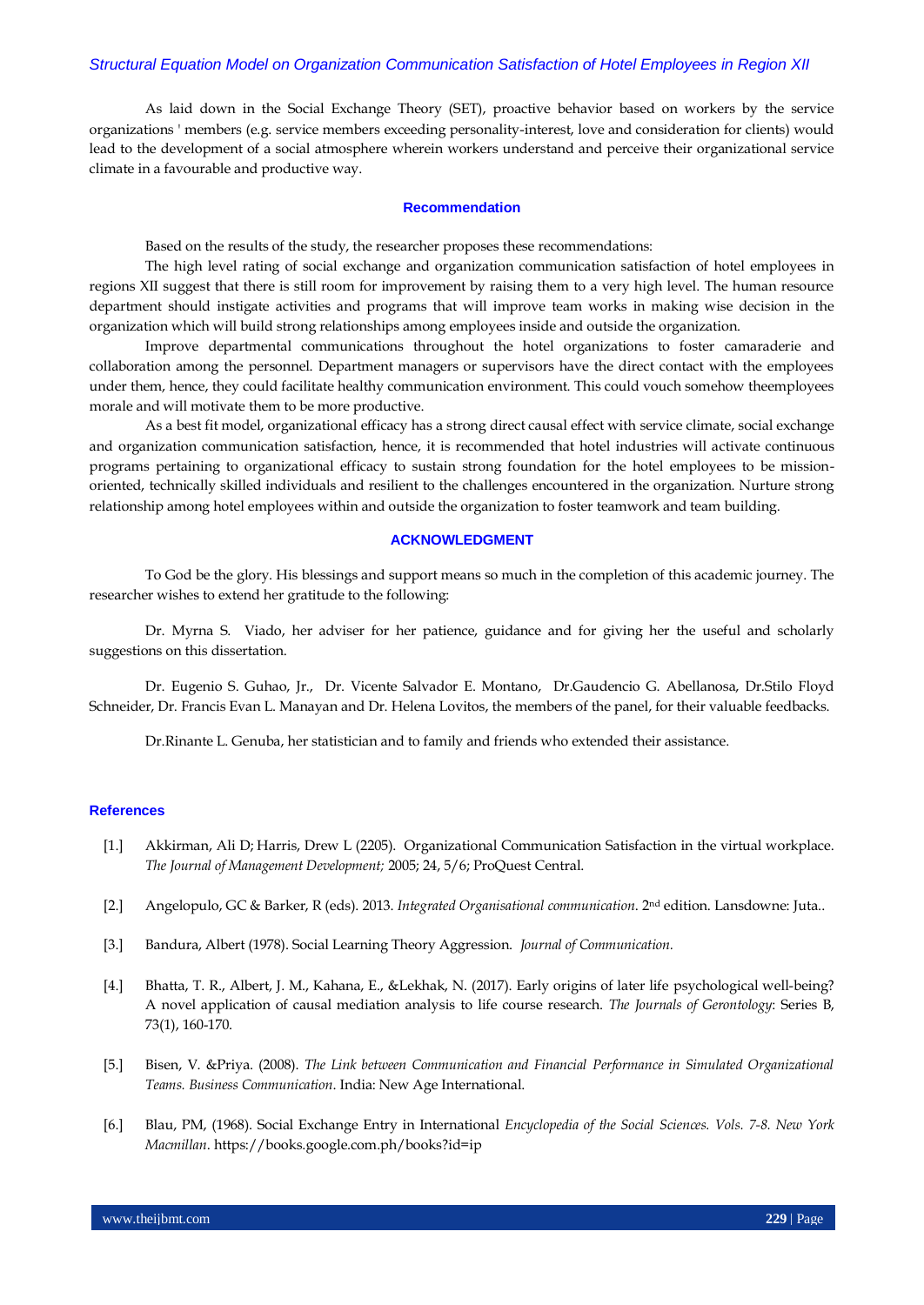As laid down in the Social Exchange Theory (SET), proactive behavior based on workers by the service organizations ' members (e.g. service members exceeding personality-interest, love and consideration for clients) would lead to the development of a social atmosphere wherein workers understand and perceive their organizational service climate in a favourable and productive way.

#### **Recommendation**

Based on the results of the study, the researcher proposes these recommendations:

The high level rating of social exchange and organization communication satisfaction of hotel employees in regions XII suggest that there is still room for improvement by raising them to a very high level. The human resource department should instigate activities and programs that will improve team works in making wise decision in the organization which will build strong relationships among employees inside and outside the organization.

Improve departmental communications throughout the hotel organizations to foster camaraderie and collaboration among the personnel. Department managers or supervisors have the direct contact with the employees under them, hence, they could facilitate healthy communication environment. This could vouch somehow theemployees morale and will motivate them to be more productive.

As a best fit model, organizational efficacy has a strong direct causal effect with service climate, social exchange and organization communication satisfaction, hence, it is recommended that hotel industries will activate continuous programs pertaining to organizational efficacy to sustain strong foundation for the hotel employees to be missionoriented, technically skilled individuals and resilient to the challenges encountered in the organization. Nurture strong relationship among hotel employees within and outside the organization to foster teamwork and team building.

#### **ACKNOWLEDGMENT**

To God be the glory. His blessings and support means so much in the completion of this academic journey. The researcher wishes to extend her gratitude to the following:

Dr. Myrna S. Viado, her adviser for her patience, guidance and for giving her the useful and scholarly suggestions on this dissertation.

Dr. Eugenio S. Guhao, Jr., Dr. Vicente Salvador E. Montano, Dr.Gaudencio G. Abellanosa, Dr.Stilo Floyd Schneider, Dr. Francis Evan L. Manayan and Dr. Helena Lovitos, the members of the panel, for their valuable feedbacks.

Dr.Rinante L. Genuba, her statistician and to family and friends who extended their assistance.

## **References**

- [1.] [Akkirman, Ali D;](https://search.proquest.com/indexinglinkhandler/sng/au/Akkirman,+Ali+D/$N?accountid=31259) [Harris, Drew L](https://search.proquest.com/indexinglinkhandler/sng/au/Harris,+Drew+L/$N?accountid=31259) (2205). Organizational Communication Satisfaction in the virtual workplace. *The Journal of Management Development;* 2005; 24, 5/6; ProQuest Central.
- [2.] Angelopulo, GC & Barker, R (eds). 2013. *Integrated Organisational communication*. 2nd edition. Lansdowne: Juta..
- [3.] Bandura, Albert (1978). Social Learning Theory Aggression. *Journal of Communication.*
- [4.] Bhatta, T. R., Albert, J. M., Kahana, E., &Lekhak, N. (2017). Early origins of later life psychological well-being? A novel application of causal mediation analysis to life course research. *The Journals of Gerontology*: Series B, 73(1), 160-170.
- [5.] Bisen, V. &Priya. (2008). *The Link between Communication and Financial Performance in Simulated Organizational Teams. Business Communication*. India: New Age International.
- [6.] Blau, PM, (1968). Social Exchange Entry in International *Encyclopedia of the Social Sciences. Vols. 7-8. New York Macmillan*. https://books.google.com.ph/books?id=ip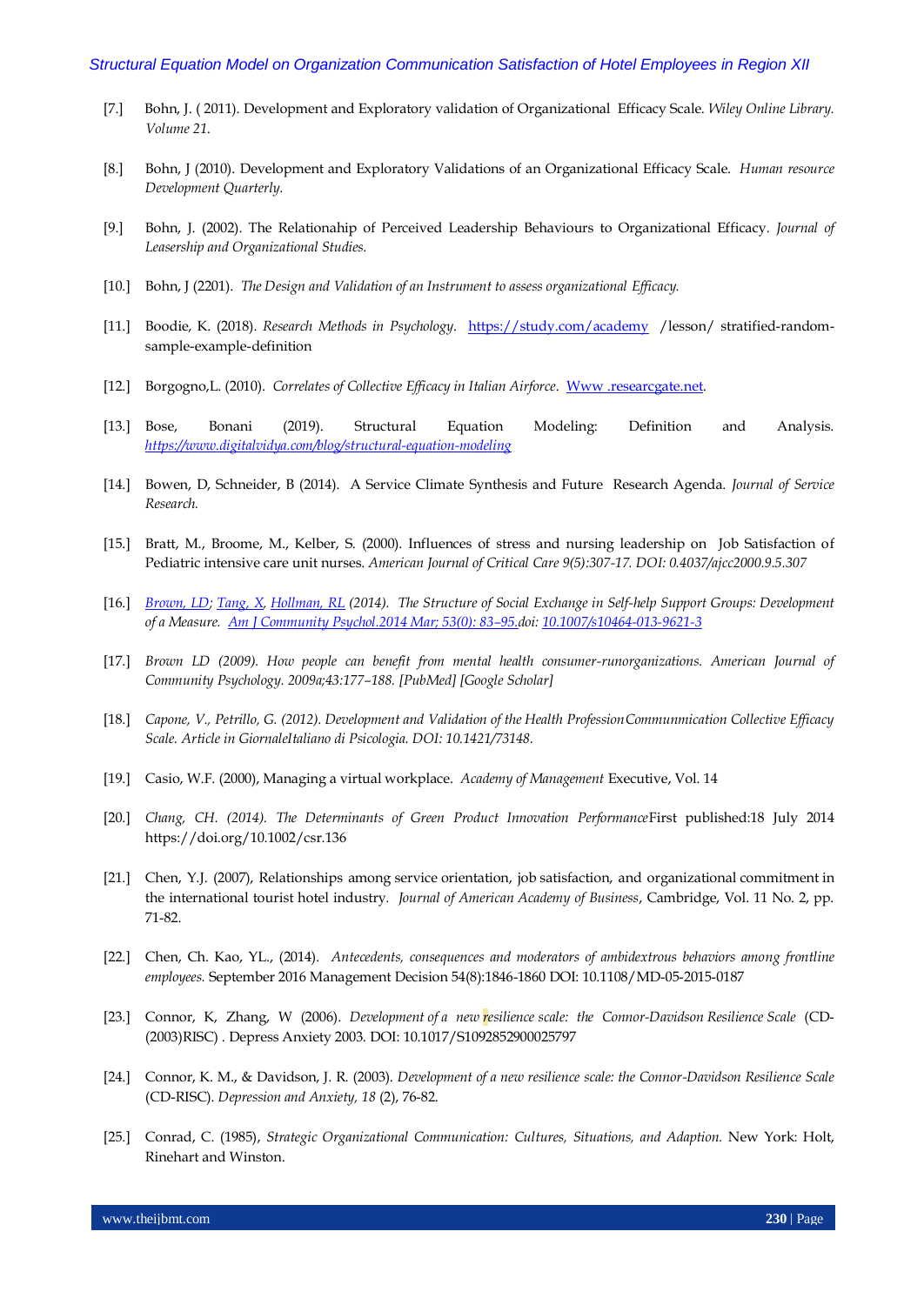- [7.] Bohn, J. ( 2011). Development and Exploratory validation of Organizational Efficacy Scale. *Wiley Online Library. Volume 21*.
- [8.] Bohn, J (2010). Development and Exploratory Validations of an Organizational Efficacy Scale. *Human resource Development Quarterly.*
- [9.] Bohn, J. (2002). The Relationahip of Perceived Leadership Behaviours to Organizational Efficacy*. Journal of Leasership and Organizational Studies.*
- [10.] Bohn, J (2201). *The Design and Validation of an Instrument to assess organizational Efficacy.*
- [11.] Boodie, K. (2018). *Research Methods in Psychology*. <https://study.com/academy>/lesson/ stratified-randomsample-example-definition
- [12.] Borgogno,L. (2010). *Correlates of Collective Efficacy in Italian Airforce*. [Www .researcgate.net.](http://www.researcgate.net/)
- [13.] Bose, Bonani (2019). Structural Equation Modeling: Definition and Analysis. *<https://www.digitalvidya.com/blog/structural-equation-modeling>*
- [14.] Bowen, D, Schneider, B (2014). A Service Climate Synthesis and Future Research Agenda. *Journal of Service Research.*
- [15.] Bratt, M., Broome, M., Kelber, S. (2000). Influences of stress and nursing leadership on Job Satisfaction of Pediatric intensive care unit nurses. *American Journal of Critical Care 9(5):307-17. DOI: 0.4037/ajcc2000.9.5.307*
- [16.] *[Brown, LD;](https://search.proquest.com/indexinglinkhandler/sng/au/Brown,+Louis+D/$N?accountid=31259) [Tang, X,](https://search.proquest.com/indexinglinkhandler/sng/au/Tang,+Xiaohui/$N?accountid=31259) [Hollman, RL](https://search.proquest.com/indexinglinkhandler/sng/au/Hollman,+Ruth+L/$N?accountid=31259) (2014). The Structure of Social Exchange in Self-help Support Groups: Development of a Measure. [Am J Community Psychol.2014 Mar; 53\(0\): 83](https://www.ncbi.nlm.nih.gov/entrez/eutils/elink.fcgi?dbfrom=pubmed&retmode=ref&cmd=prlinks&id=24398622)–95.doi: [10.1007/s10464-013-9621-3](https://dx.doi.org/10.1007%2Fs10464-013-9621-3)*
- [17.] *Brown LD (2009). How people can benefit from mental health consumer-runorganizations. American Journal of Community Psychology. 2009a;43:177–188. [PubMed] [Google Scholar]*
- [18.] *Capone, V., Petrillo, G. (2012). Development and Validation of the Health ProfessionCommunmication Collective Efficacy Scale. Article in GiornaleItaliano di Psicologia. DOI: 10.1421/73148.*
- [19.] Casio, W.F. (2000), Managing a virtual workplace. *Academy of Management* Executive, Vol. 14
- [20.] *Chang, CH. (2014). The Determinants of Green Product Innovation Performance*First published:18 July 2014 https://doi.org/10.1002/csr.136
- [21.] Chen, Y.J. (2007), Relationships among service orientation, job satisfaction, and organizational commitment in the international tourist hotel industry*. Journal of American Academy of Business*, Cambridge, Vol. 11 No. 2, pp. 71-82.
- [22.] Chen, Ch. Kao, YL., (2014). *Antecedents, consequences and moderators of ambidextrous behaviors among frontline employees.* September 2016 Management Decision 54(8):1846-1860 DOI: 10.1108/MD-05-2015-0187
- [23.] Connor, K, Zhang, W (2006). *Development of a new resilience scale: the Connor-Davidson Resilience Scale* (CD- (2003)RISC) . Depress Anxiety 2003. DOI: 10.1017/S1092852900025797
- [24.] Connor, K. M., & Davidson, J. R. (2003). *Development of a new resilience scale: the Connor-Davidson Resilience Scale* (CD-RISC). *Depression and Anxiety, 18* (2), 76-82.
- [25.] Conrad, C. (1985), *Strategic Organizational Communication: Cultures, Situations, and Adaption.* New York: Holt, Rinehart and Winston.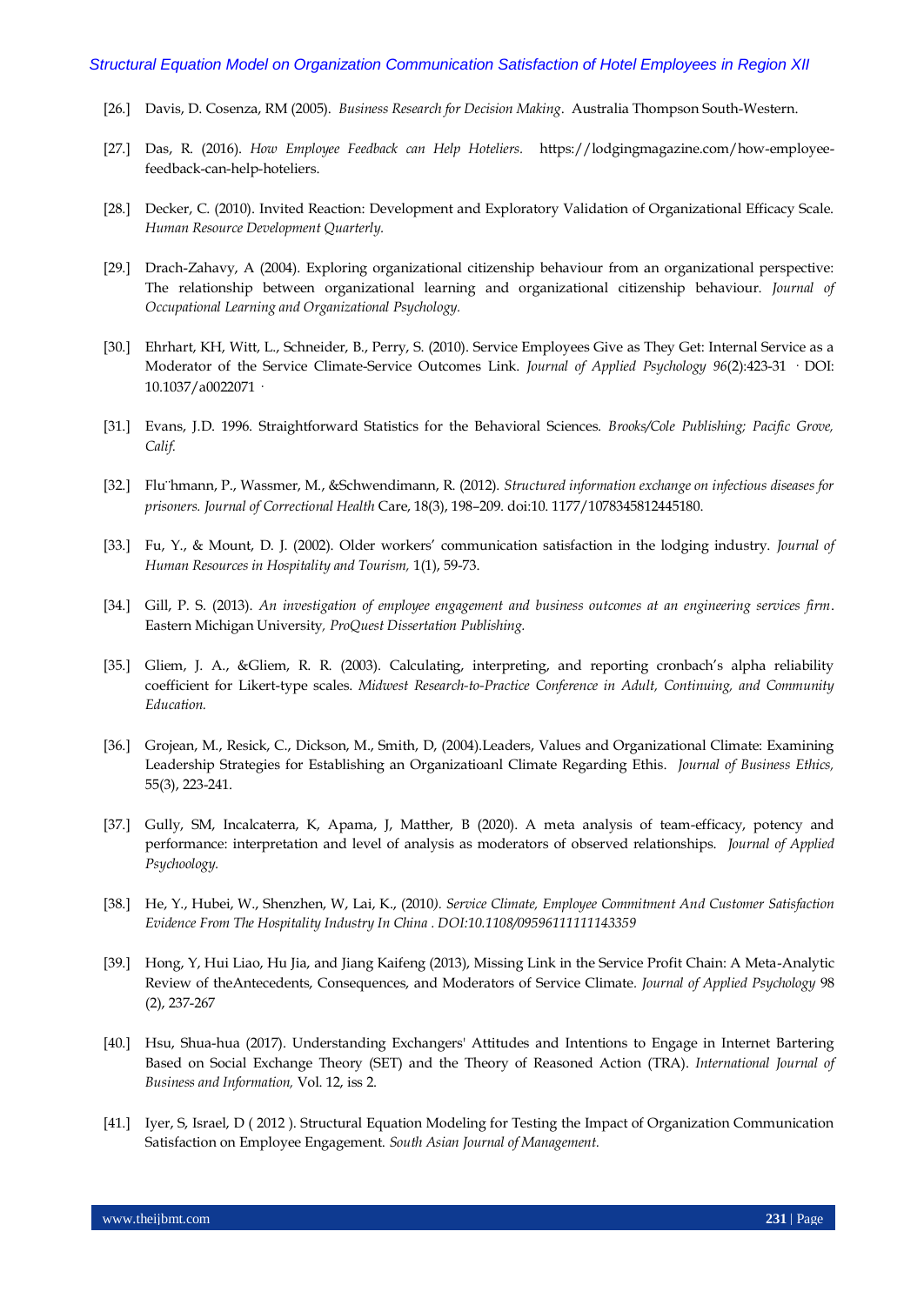- [26.] Davis, D. Cosenza, RM (2005). *Business Research for Decision Making*. Australia Thompson South-Western.
- [27.] Das, R. (2016). *How Employee Feedback can Help Hoteliers.* https://lodgingmagazine.com/how-employeefeedback-can-help-hoteliers.
- [28.] Decker, C. (2010). Invited Reaction: Development and Exploratory Validation of Organizational Efficacy Scale. *Human Resource Development Quarterly.*
- [29.] Drach-Zahavy, A (2004). Exploring organizational citizenship behaviour from an organizational perspective: The relationship between organizational learning and organizational citizenship behaviour. *Journal of Occupational Learning and Organizational Psychology.*
- [30.] Ehrhart, KH, Witt, L., Schneider, B., Perry, S. (2010). Service Employees Give as They Get: Internal Service as a Moderator of the Service Climate-Service Outcomes Link. *Journal of Applied Psychology 96*(2):423-31 · DOI: 10.1037/a0022071 ·
- [31.] Evans, J.D. 1996. Straightforward Statistics for the Behavioral Sciences. *Brooks/Cole Publishing; Pacific Grove, Calif.*
- [32.] Flu¨hmann, P., Wassmer, M., &Schwendimann, R. (2012). *Structured information exchange on infectious diseases for prisoners. Journal of Correctional Health* Care, 18(3), 198–209. doi:10. 1177/1078345812445180.
- [33.] Fu, Y., & Mount, D. J. (2002). Older workers' communication satisfaction in the lodging industry. *Journal of Human Resources in Hospitality and Tourism,* 1(1), 59-73.
- [34.] Gill, P. S. (2013). *An investigation of employee engagement and business outcomes at an engineering services firm*. Eastern Michigan University*, ProQuest Dissertation Publishing.*
- [35.] Gliem, J. A., &Gliem, R. R. (2003). Calculating, interpreting, and reporting cronbach's alpha reliability coefficient for Likert-type scales. *Midwest Research-to-Practice Conference in Adult, Continuing, and Community Education.*
- [36.] Grojean, M., Resick, C., Dickson, M., Smith, D, (2004).Leaders, Values and Organizational Climate: Examining Leadership Strategies for Establishing an Organizatioanl Climate Regarding Ethis. *Journal of Business Ethics,* 55(3), 223-241.
- [37.] Gully, SM, Incalcaterra, K, Apama, J, Matther, B (2020). A meta analysis of team-efficacy, potency and performance: interpretation and level of analysis as moderators of observed relationships. *Journal of Applied Psychoology.*
- [38.] He, Y., Hubei, W., Shenzhen, W, Lai, K., (2010*). Service Climate, Employee Commitment And Customer Satisfaction Evidence From The Hospitality Industry In China . DOI:10.1108/09596111111143359*
- [39.] Hong, Y, Hui Liao, Hu Jia, and Jiang Kaifeng (2013), Missing Link in the Service Profit Chain: A Meta-Analytic Review of theAntecedents, Consequences, and Moderators of Service Climate*. Journal of Applied Psychology* 98 (2), 237-267
- [40.] Hsu, Shua-hua (2017). Understanding Exchangers' Attitudes and Intentions to Engage in Internet Bartering Based on Social Exchange Theory (SET) and the Theory of Reasoned Action (TRA). *International Journal of Business and Information,* Vol. 12, iss 2.
- [41.] Iyer, S, Israel, D ( 2012 ). Structural Equation Modeling for Testing the Impact of Organization Communication Satisfaction on Employee Engagement. *South Asian Journal of Management.*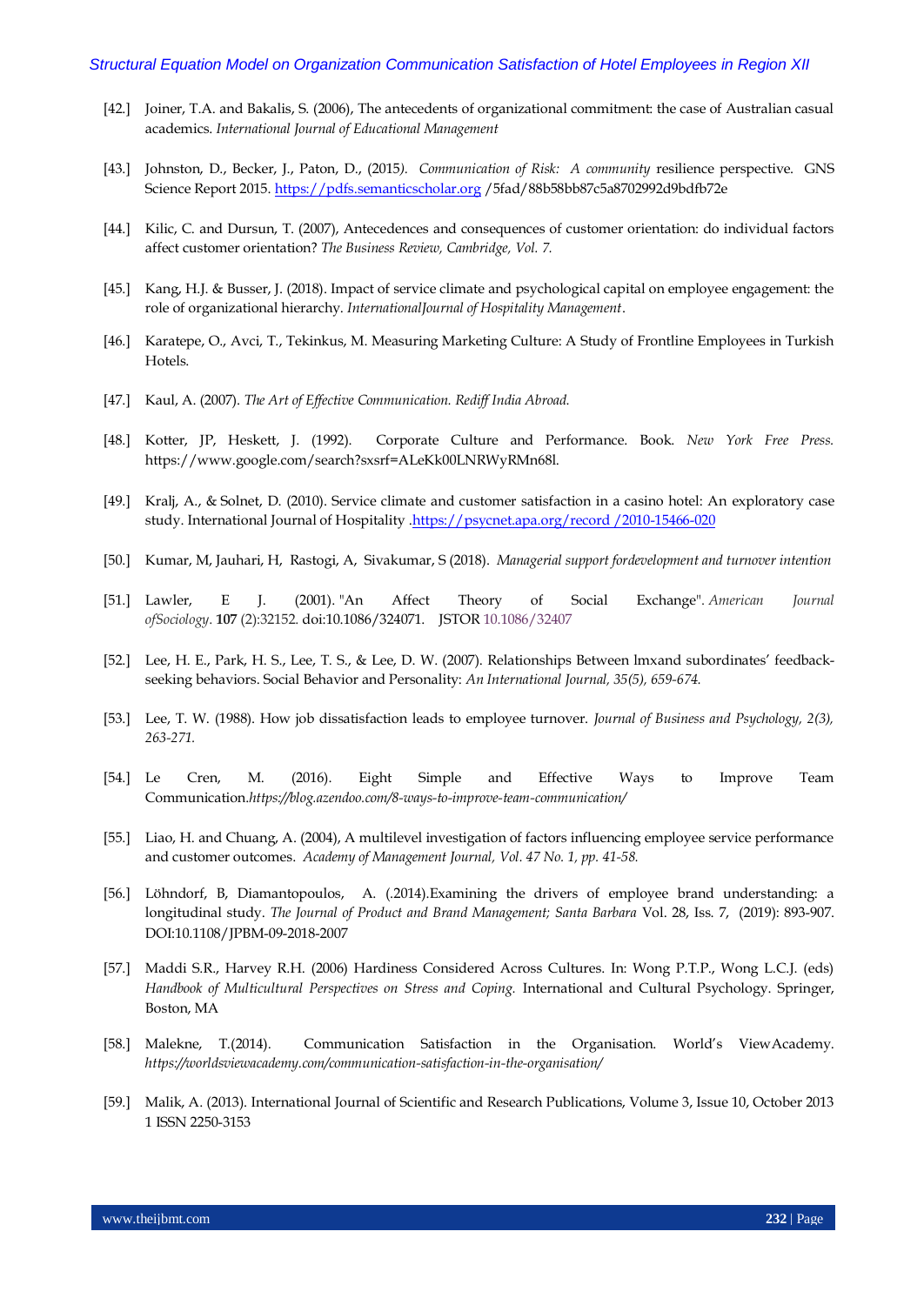- [42.] Joiner, T.A. and Bakalis, S. (2006), The antecedents of organizational commitment: the case of Australian casual academics. *International Journal of Educational Management*
- [43.] Johnston, D., Becker, J., Paton, D., (2015*). Communication of Risk: A community* resilience perspective. GNS Science Report 2015. [https://pdfs.semanticscholar.org](https://pdfs.semanticscholar.org/) /5fad/88b58bb87c5a8702992d9bdfb72e
- [44.] Kilic, C. and Dursun, T. (2007), Antecedences and consequences of customer orientation: do individual factors affect customer orientation? *The Business Review, Cambridge, Vol. 7.*
- [45.] Kang, H.J. & Busser, J. (2018). Impact of service climate and psychological capital on employee engagement: the role of organizational hierarchy. *InternationalJournal of Hospitality Management*.
- [46.] Karatepe, O., Avci, T., Tekinkus, M. Measuring Marketing Culture: A Study of Frontline Employees in Turkish Hotels.
- [47.] Kaul, A. (2007). *The Art of Effective Communication. Rediff India Abroad.*
- [48.] Kotter, JP, Heskett, J. (1992). Corporate Culture and Performance. Book. *New York Free Press.* https://www.google.com/search?sxsrf=ALeKk00LNRWyRMn68l.
- [49.] Kralj, A., & Solnet, D. (2010). Service climate and customer satisfaction in a casino hotel: An exploratory case study. International Journal of Hospitality [.https://psycnet.apa.org/record /2010-15466-020](https://psycnet.apa.org/record%20/2010-15466-020)
- [50.] [Kumar, M,](https://search.proquest.com/indexinglinkhandler/sng/au/Kumar,+Manish/$N?accountid=31259) [Jauhari, H,](https://search.proquest.com/indexinglinkhandler/sng/au/Jauhari,+Hemang/$N?accountid=31259) [Rastogi, A,](https://search.proquest.com/indexinglinkhandler/sng/au/Rastogi,+Ashish/$N?accountid=31259) [Sivakumar, S](https://search.proquest.com/indexinglinkhandler/sng/au/Sivakumar,+Sandeep/$N?accountid=31259) (2018). *Managerial support fordevelopment and turnover intention*
- [51.] Lawler, E J. (2001). ["An Affect Theory of Social Exchange".](https://digitalcommons.ilr.cornell.edu/cgi/viewcontent.cgi?article=1661&context=articles) *American Journal ofSociology*. **107** (2):32152. [doi](https://en.wikipedia.org/wiki/Digital_object_identifier)[:10.1086/324071.](https://doi.org/10.1086%2F324071) [JSTOR](https://en.wikipedia.org/wiki/JSTOR) [10.1086/32407](https://www.jstor.org/stable/10.1086/324071)
- [52.] Lee, H. E., Park, H. S., Lee, T. S., & Lee, D. W. (2007). Relationships Between lmxand subordinates' feedbackseeking behaviors. Social Behavior and Personality: *An International Journal, 35(5), 659-674.*
- [53.] Lee, T. W. (1988). How job dissatisfaction leads to employee turnover. *Journal of Business and Psychology, 2(3), 263-271.*
- [54.] Le Cren, M. (2016). Eight Simple and Effective Ways to Improve Team Communication.*<https://blog.azendoo.com/8-ways-to-improve-team-communication/>*
- [55.] Liao, H. and Chuang, A. (2004), A multilevel investigation of factors influencing employee service performance and customer outcomes. *Academy of Management Journal, Vol. 47 No. 1, pp. 41-58.*
- [56.] Löhndorf, B, Diamantopoulos, A. (.2014).Examining the drivers of employee brand understanding: a longitudinal study. *The Journal of Product and Brand Management; Santa Barbara* Vol. 28, Iss. 7, (2019): 893-907. DOI:10.1108/JPBM-09-2018-2007
- [57.] Maddi S.R., Harvey R.H. (2006) Hardiness Considered Across Cultures. In: Wong P.T.P., Wong L.C.J. (eds) *Handbook of Multicultural Perspectives on Stress and Coping.* International and Cultural Psychology. Springer, Boston, MA
- [58.] Malekne, T.(2014). Communication Satisfaction in the Organisation. World's ViewAcademy. *<https://worldsviewacademy.com/communication-satisfaction-in-the-organisation/>*
- [59.] Malik, A. (2013). International Journal of Scientific and Research Publications, Volume 3, Issue 10, October 2013 1 ISSN 2250-3153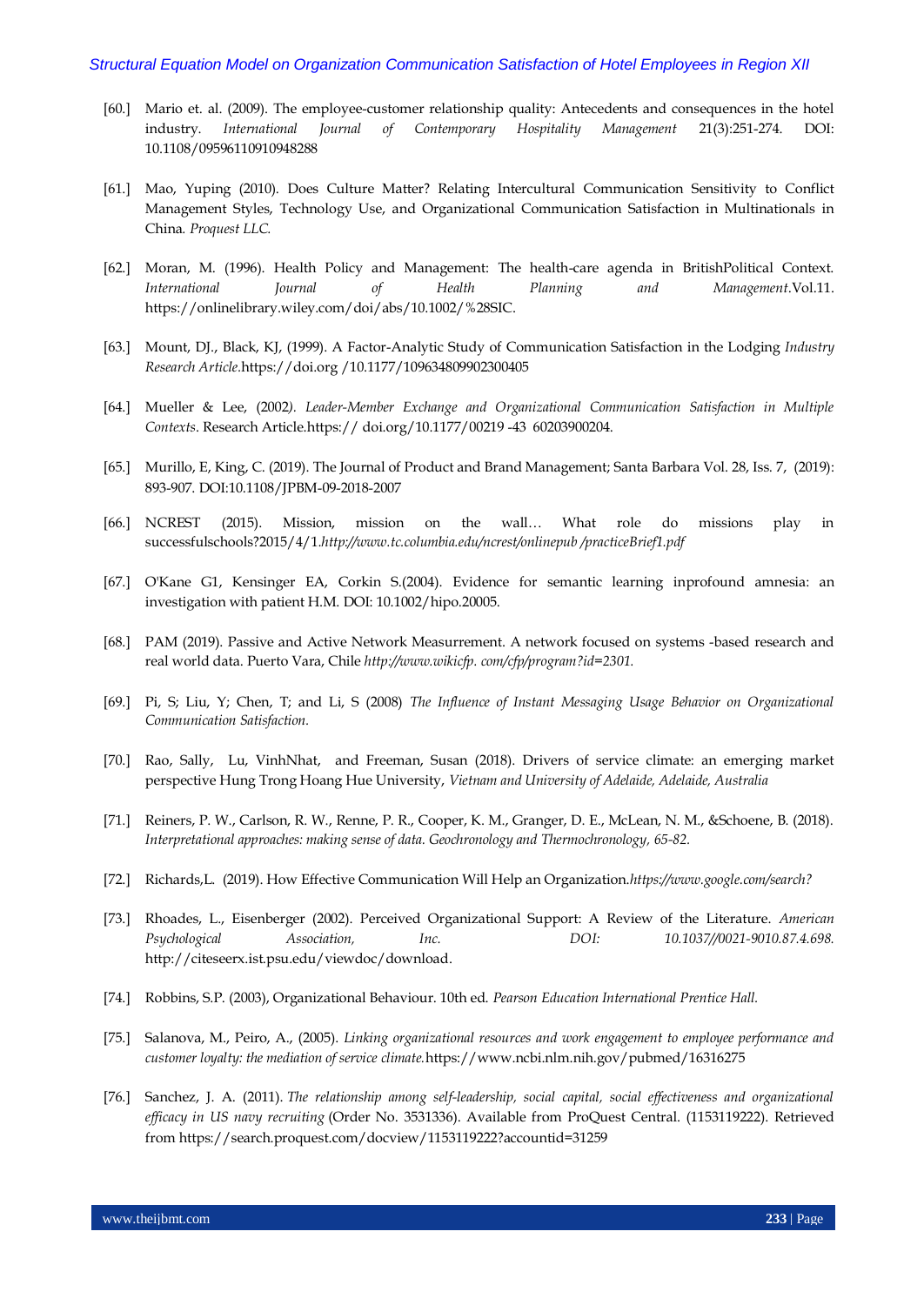- [60.] Mario et. al. (2009). The employee-customer relationship quality: Antecedents and consequences in the hotel industry. *International Journal of Contemporary Hospitality Management* 21(3):251-274. DOI: 10.1108/09596110910948288
- [61.] Mao, Yuping (2010). Does Culture Matter? Relating Intercultural Communication Sensitivity to Conflict Management Styles, Technology Use, and Organizational Communication Satisfaction in Multinationals in China*. Proquest LLC.*
- [62.] Moran, M. (1996). Health Policy and Management: The health-care agenda in BritishPolitical Context. *International Journal of Health Planning and Management*.Vol.11. [https://onlinelibrary.wiley.com/doi/abs/10.1002/%28SIC.](https://onlinelibrary.wiley.com/doi/abs/10.1002/%28SIC)
- [63.] Mount, DJ., Black, KJ, (1999). A Factor-Analytic Study of Communication Satisfaction in the Lodging *Industry Research Article.*[https://doi.org](https://doi.org/) /10.1177/109634809902300405
- [64.] Mueller & Lee, (2002*). Leader-Member Exchange and Organizational Communication Satisfaction in Multiple Contexts*. Research Article.https:// doi.org/10.1177/00219 -43 60203900204.
- [65.] [Murillo, E,](https://search.proquest.com/indexinglinkhandler/sng/au/Murillo,+Enrique/$N?accountid=31259) [King, C.](https://search.proquest.com/indexinglinkhandler/sng/au/King,+Ceridwyn/$N?accountid=31259) (2019)[. The Journal of Product and Brand Management;](https://search.proquest.com/pubidlinkhandler/sng/pubtitle/The+Journal+of+Product+and+Brand+Management/$N/30683/DocView/2311898467/abstract/D39B9D1C920A45C2PQ/1?accountid=31259) Santa Barbara [Vol.](https://search.proquest.com/indexingvolumeissuelinkhandler/30683/The+Journal+of+Product+and+Brand+Management/02019Y11Y10$232019$3b++Vol.+28+$287$29/28/7?accountid=31259) 28, Iss. 7, (2019): 893-907. DOI:10.1108/JPBM-09-2018-2007
- [66.] NCREST (2015). Mission, mission on the wall… What role do missions play in successfulschools?2015/4/1*[.http://www.tc.columbia.edu/ncrest/onlinepub](http://www.tc.columbia.edu/ncrest/onlinepub) /practiceBrief1.pdf*
- [67.] O'Kane G1, Kensinger EA, Corkin S.(2004). Evidence for semantic learning inprofound amnesia: an investigation with patient H.M. DOI: 10.1002/hipo.20005.
- [68.] PAM (2019). Passive and Active Network Measurrement. A network focused on systems -based research and real world data. Puerto Vara, Chile *[http://www.wikicfp.](http://www.wikicfp/) com/cfp/program?id=2301.*
- [69.] Pi, S; Liu, Y; Chen, T; and Li, S (2008) *The Influence of Instant Messaging Usage Behavior on Organizational Communication Satisfaction.*
- [70.] Rao, Sally, Lu, VinhNhat, and Freeman, Susan (2018). Drivers of service climate: an emerging market perspective Hung Trong Hoang Hue University, *Vietnam and University of Adelaide, Adelaide, Australia*
- [71.] Reiners, P. W., Carlson, R. W., Renne, P. R., Cooper, K. M., Granger, D. E., McLean, N. M., &Schoene, B. (2018). *Interpretational approaches: making sense of data. Geochronology and Thermochronology, 65-82.*
- [72.] Richards,L. (2019). How Effective Communication Will Help an Organization.*https://www.google.com/search?*
- [73.] Rhoades, L., Eisenberger (2002). Perceived Organizational Support: A Review of the Literature. *American Psychological Association, Inc. DOI: 10.1037//0021-9010.87.4.698.*  [http://citeseerx.ist.psu.edu/viewdoc/download.](http://citeseerx.ist.psu.edu/viewdoc/download)
- [74.] Robbins, S.P. (2003), Organizational Behaviour. 10th ed. *Pearson Education International Prentice Hall.*
- [75.] Salanova, M., Peiro, A., (2005). *Linking organizational resources and work engagement to employee performance and customer loyalty: the mediation of service climate.*<https://www.ncbi.nlm.nih.gov/pubmed/16316275>
- [76.] Sanchez, J. A. (2011). *The relationship among self-leadership, social capital, social effectiveness and organizational efficacy in US navy recruiting* (Order No. 3531336). Available from ProQuest Central. (1153119222). Retrieved from https://search.proquest.com/docview/1153119222?accountid=31259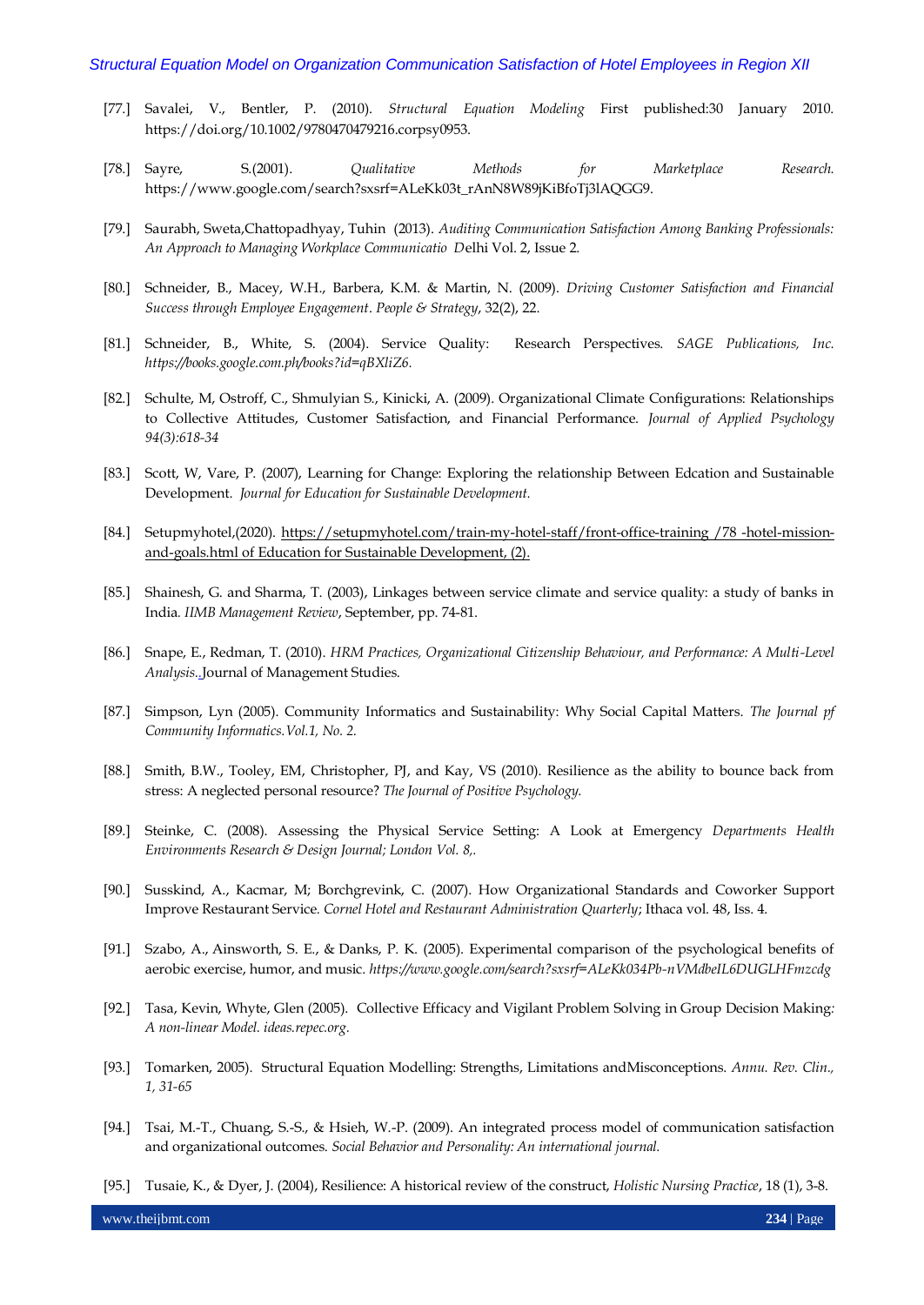- [77.] Savalei, V., Bentler, P. (2010). *Structural Equation Modeling* First published:30 January 2010. https://doi.org/10.1002/9780470479216.corpsy0953.
- [78.] Sayre, S.(2001). *Qualitative Methods for Marketplace Research.* https://www.google.com/search?sxsrf=ALeKk03t\_rAnN8W89jKiBfoTj3lAQGG9.
- [79.] Saurabh, Sweta,Chattopadhyay, Tuhin (2013). *Auditing Communication Satisfaction Among Banking Professionals: An Approach to Managing Workplace Communicatio D*elhi Vol. 2, Issue 2.
- [80.] Schneider, B., Macey, W.H., Barbera, K.M. & Martin, N. (2009). *Driving Customer Satisfaction and Financial Success through Employee Engagement*. *People & Strategy*, 32(2), 22.
- [81.] Schneider, B., White, S. (2004). Service Quality: Research Perspectives. *SAGE Publications, Inc. https://books.google.com.ph/books?id=qBXliZ6.*
- [82.] Schulte, M, Ostroff, C., Shmulyian S., Kinicki, A. (2009). Organizational Climate Configurations: Relationships to Collective Attitudes, Customer Satisfaction, and Financial Performance. *Journal of Applied Psychology 94(3):618-34*
- [83.] Scott, W, Vare, P. (2007), Learning for Change: Exploring the relationship Between Edcation and Sustainable Development. *Journal for Education for Sustainable Development.*
- [84.] Setupmyhotel,(2020). [https://setupmyhotel.com/train-my-hotel-staff/front-office-training /78](https://setupmyhotel.com/train-my-hotel-staff/front-office-training%20/78%20-hotel-mission-and-goals.html%20of) -hotel-mission[and-goals.html of](https://setupmyhotel.com/train-my-hotel-staff/front-office-training%20/78%20-hotel-mission-and-goals.html%20of) Education for Sustainable Development, (2).
- [85.] Shainesh, G. and Sharma, T. (2003), Linkages between service climate and service quality: a study of banks in India*. IIMB Management Review*, September, pp. 74-81.
- [86.] Snape, E., Redman, T. (2010). *HRM Practices, Organizational Citizenship Behaviour, and Performance: A Multi-Level Analysis[..](https://papers.ssrn.com/sol3/papers.cfm?abstract_id=1683702)*Journal of Management Studies.
- [87.] Simpson, Lyn (2005). Community Informatics and Sustainability: Why Social Capital Matters. *The Journal pf Community Informatics.Vol.1, No. 2.*
- [88.] Smith, B.W., Tooley, EM, Christopher, PJ, and Kay, VS (2010). Resilience as the ability to bounce back from stress: A neglected personal resource? *The Journal of Positive Psychology.*
- [89.] Steinke, C. (2008). Assessing the Physical Service Setting: A Look at Emergency *Departments Health Environments Research & Design Journal; London Vol. 8,.*
- [90.] Susskind, A., Kacmar, M; Borchgrevink, C. (2007). How Organizational Standards and Coworker Support Improve Restaurant Service*. Cornel Hotel and Restaurant Administration Quarterly*; Ithaca vol. 48, Iss. 4.
- [91.] Szabo, A., Ainsworth, S. E., & Danks, P. K. (2005). Experimental comparison of the psychological benefits of aerobic exercise, humor, and music. *https://www.google.com/search?sxsrf=ALeKk034Pb-nVMdbeIL6DUGLHFmzcdg*
- [92.] Tasa, Kevin, Whyte, Glen (2005). Collective Efficacy and Vigilant Problem Solving in Group Decision Making*: A non-linear Model. ideas.repec.org.*
- [93.] Tomarken, 2005). Structural Equation Modelling: Strengths, Limitations andMisconceptions. *Annu. Rev. Clin., 1, 31-65*
- [94.] Tsai, M.-T., Chuang, S.-S., & Hsieh, W.-P. (2009). An integrated process model of communication satisfaction and organizational outcomes. *Social Behavior and Personality: An international journal.*
- [95.] Tusaie, K., & Dyer, J. (2004), Resilience: A historical review of the construct, *Holistic Nursing Practice*, 18 (1), 3-8.

www.theijbmt.com **234** | Page